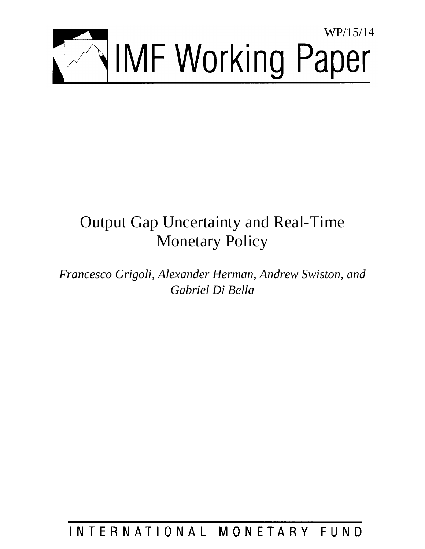

# Output Gap Uncertainty and Real-Time Monetary Policy

*Francesco Grigoli, Alexander Herman, Andrew Swiston, and Gabriel Di Bella* 

## INTERNATIONAL MONETARY FUND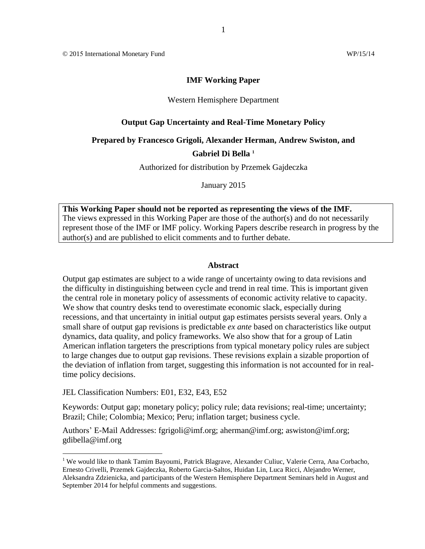#### **IMF Working Paper**

1

#### Western Hemisphere Department

#### **Output Gap Uncertainty and Real-Time Monetary Policy**

## **Prepared by Francesco Grigoli, Alexander Herman, Andrew Swiston, and**

#### **Gabriel Di Bella <sup>1</sup>**

Authorized for distribution by Przemek Gajdeczka

January 2015

**This Working Paper should not be reported as representing the views of the IMF.** The views expressed in this Working Paper are those of the author(s) and do not necessarily represent those of the IMF or IMF policy. Working Papers describe research in progress by the author(s) and are published to elicit comments and to further debate.

#### **Abstract**

Output gap estimates are subject to a wide range of uncertainty owing to data revisions and the difficulty in distinguishing between cycle and trend in real time. This is important given the central role in monetary policy of assessments of economic activity relative to capacity. We show that country desks tend to overestimate economic slack, especially during recessions, and that uncertainty in initial output gap estimates persists several years. Only a small share of output gap revisions is predictable *ex ante* based on characteristics like output dynamics, data quality, and policy frameworks. We also show that for a group of Latin American inflation targeters the prescriptions from typical monetary policy rules are subject to large changes due to output gap revisions. These revisions explain a sizable proportion of the deviation of inflation from target, suggesting this information is not accounted for in realtime policy decisions.

JEL Classification Numbers: E01, E32, E43, E52

Keywords: Output gap; monetary policy; policy rule; data revisions; real-time; uncertainty; Brazil; Chile; Colombia; Mexico; Peru; inflation target; business cycle.

Authors' E-Mail Addresses: fgrigoli@imf.org; aherman@imf.org; aswiston@imf.org; gdibella@imf.org

<sup>&</sup>lt;sup>1</sup> We would like to thank Tamim Bayoumi, Patrick Blagrave, Alexander Culiuc, Valerie Cerra, Ana Corbacho, Ernesto Crivelli, Przemek Gajdeczka, Roberto Garcia-Saltos, Huidan Lin, Luca Ricci, Alejandro Werner, Aleksandra Zdzienicka, and participants of the Western Hemisphere Department Seminars held in August and September 2014 for helpful comments and suggestions.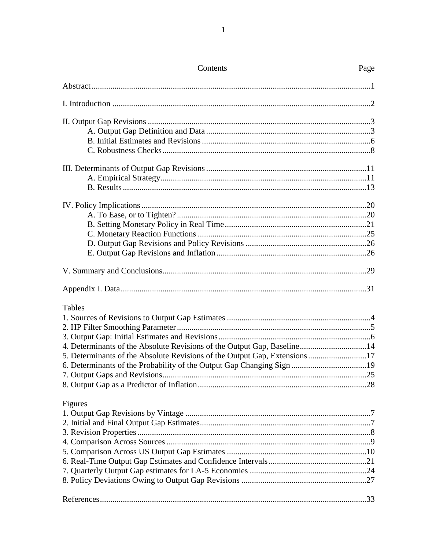| Contents                                                                  | Page |
|---------------------------------------------------------------------------|------|
|                                                                           |      |
|                                                                           |      |
|                                                                           |      |
|                                                                           |      |
|                                                                           |      |
|                                                                           |      |
|                                                                           |      |
|                                                                           |      |
|                                                                           |      |
|                                                                           |      |
|                                                                           |      |
|                                                                           |      |
|                                                                           |      |
|                                                                           |      |
|                                                                           |      |
|                                                                           |      |
|                                                                           |      |
| Tables                                                                    |      |
|                                                                           |      |
|                                                                           |      |
|                                                                           |      |
| 4. Determinants of the Absolute Revisions of the Output Gap, Baseline14   |      |
| 5. Determinants of the Absolute Revisions of the Output Gap, Extensions17 |      |
|                                                                           |      |
|                                                                           |      |
|                                                                           |      |
| Figures                                                                   |      |
|                                                                           |      |
|                                                                           |      |
|                                                                           |      |
|                                                                           |      |
|                                                                           |      |
|                                                                           |      |
|                                                                           |      |
|                                                                           |      |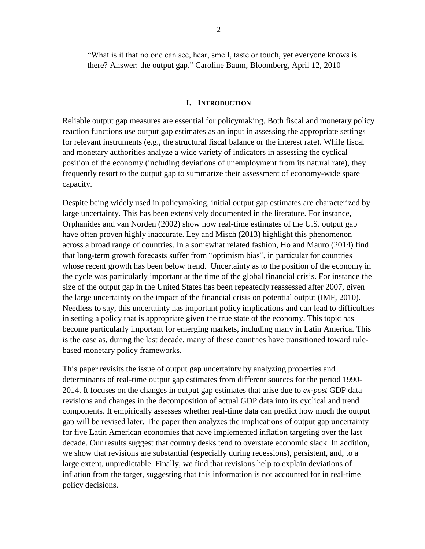"What is it that no one can see, hear, smell, taste or touch, yet everyone knows is there? Answer: the output gap." Caroline Baum, Bloomberg, April 12, 2010

#### **I. INTRODUCTION**

Reliable output gap measures are essential for policymaking. Both fiscal and monetary policy reaction functions use output gap estimates as an input in assessing the appropriate settings for relevant instruments (e.g., the structural fiscal balance or the interest rate). While fiscal and monetary authorities analyze a wide variety of indicators in assessing the cyclical position of the economy (including deviations of unemployment from its natural rate), they frequently resort to the output gap to summarize their assessment of economy-wide spare capacity.

Despite being widely used in policymaking, initial output gap estimates are characterized by large uncertainty. This has been extensively documented in the literature. For instance, Orphanides and van Norden (2002) show how real-time estimates of the U.S. output gap have often proven highly inaccurate. Ley and Misch (2013) highlight this phenomenon across a broad range of countries. In a somewhat related fashion, Ho and Mauro (2014) find that long-term growth forecasts suffer from "optimism bias", in particular for countries whose recent growth has been below trend. Uncertainty as to the position of the economy in the cycle was particularly important at the time of the global financial crisis. For instance the size of the output gap in the United States has been repeatedly reassessed after 2007, given the large uncertainty on the impact of the financial crisis on potential output (IMF, 2010). Needless to say, this uncertainty has important policy implications and can lead to difficulties in setting a policy that is appropriate given the true state of the economy. This topic has become particularly important for emerging markets, including many in Latin America. This is the case as, during the last decade, many of these countries have transitioned toward rulebased monetary policy frameworks.

This paper revisits the issue of output gap uncertainty by analyzing properties and determinants of real-time output gap estimates from different sources for the period 1990- 2014. It focuses on the changes in output gap estimates that arise due to *ex-post* GDP data revisions and changes in the decomposition of actual GDP data into its cyclical and trend components. It empirically assesses whether real-time data can predict how much the output gap will be revised later. The paper then analyzes the implications of output gap uncertainty for five Latin American economies that have implemented inflation targeting over the last decade. Our results suggest that country desks tend to overstate economic slack. In addition, we show that revisions are substantial (especially during recessions), persistent, and, to a large extent, unpredictable. Finally, we find that revisions help to explain deviations of inflation from the target, suggesting that this information is not accounted for in real-time policy decisions.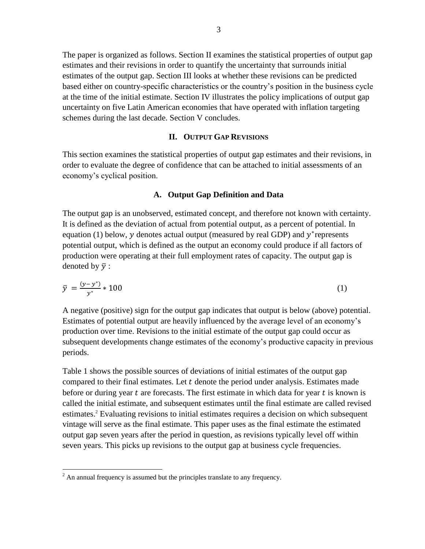The paper is organized as follows. Section II examines the statistical properties of output gap estimates and their revisions in order to quantify the uncertainty that surrounds initial estimates of the output gap. Section III looks at whether these revisions can be predicted based either on country-specific characteristics or the country's position in the business cycle at the time of the initial estimate. Section IV illustrates the policy implications of output gap uncertainty on five Latin American economies that have operated with inflation targeting schemes during the last decade. Section V concludes.

#### **II. OUTPUT GAP REVISIONS**

This section examines the statistical properties of output gap estimates and their revisions, in order to evaluate the degree of confidence that can be attached to initial assessments of an economy's cyclical position.

#### **A. Output Gap Definition and Data**

The output gap is an unobserved, estimated concept, and therefore not known with certainty. It is defined as the deviation of actual from potential output, as a percent of potential. In equation (1) below, y denotes actual output (measured by real GDP) and  $y^*$  represents potential output, which is defined as the output an economy could produce if all factors of production were operating at their full employment rates of capacity. The output gap is denoted by  $\bar{y}$  :

$$
\bar{y} = \frac{(y - y^*)}{y^*} * 100
$$
 (1)

A negative (positive) sign for the output gap indicates that output is below (above) potential. Estimates of potential output are heavily influenced by the average level of an economy's production over time. Revisions to the initial estimate of the output gap could occur as subsequent developments change estimates of the economy's productive capacity in previous periods.

Table 1 shows the possible sources of deviations of initial estimates of the output gap compared to their final estimates. Let  $t$  denote the period under analysis. Estimates made before or during year  $t$  are forecasts. The first estimate in which data for year  $t$  is known is called the initial estimate, and subsequent estimates until the final estimate are called revised estimates.<sup>2</sup> Evaluating revisions to initial estimates requires a decision on which subsequent vintage will serve as the final estimate. This paper uses as the final estimate the estimated output gap seven years after the period in question, as revisions typically level off within seven years. This picks up revisions to the output gap at business cycle frequencies.

 $2$  An annual frequency is assumed but the principles translate to any frequency.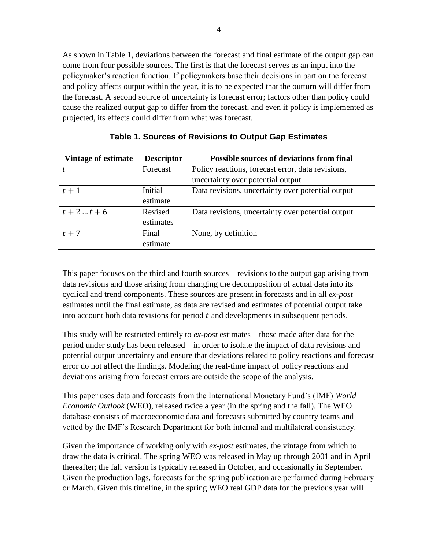As shown in Table 1, deviations between the forecast and final estimate of the output gap can come from four possible sources. The first is that the forecast serves as an input into the policymaker's reaction function. If policymakers base their decisions in part on the forecast and policy affects output within the year, it is to be expected that the outturn will differ from the forecast. A second source of uncertainty is forecast error; factors other than policy could cause the realized output gap to differ from the forecast, and even if policy is implemented as projected, its effects could differ from what was forecast.

| Vintage of estimate | <b>Descriptor</b> | <b>Possible sources of deviations from final</b>  |
|---------------------|-------------------|---------------------------------------------------|
| t.                  | Forecast          | Policy reactions, forecast error, data revisions, |
|                     |                   | uncertainty over potential output                 |
| $t+1$               | Initial           | Data revisions, uncertainty over potential output |
|                     | estimate          |                                                   |
| $t + 2  t + 6$      | Revised           | Data revisions, uncertainty over potential output |
|                     | estimates         |                                                   |
| $t + 7$             | Final             | None, by definition                               |
|                     | estimate          |                                                   |

#### **Table 1. Sources of Revisions to Output Gap Estimates**

This paper focuses on the third and fourth sources—revisions to the output gap arising from data revisions and those arising from changing the decomposition of actual data into its cyclical and trend components. These sources are present in forecasts and in all *ex-post* estimates until the final estimate, as data are revised and estimates of potential output take into account both data revisions for period  $t$  and developments in subsequent periods.

This study will be restricted entirely to *ex-post* estimates—those made after data for the period under study has been released—in order to isolate the impact of data revisions and potential output uncertainty and ensure that deviations related to policy reactions and forecast error do not affect the findings. Modeling the real-time impact of policy reactions and deviations arising from forecast errors are outside the scope of the analysis.

This paper uses data and forecasts from the International Monetary Fund's (IMF) *World Economic Outlook* (WEO), released twice a year (in the spring and the fall). The WEO database consists of macroeconomic data and forecasts submitted by country teams and vetted by the IMF's Research Department for both internal and multilateral consistency.

Given the importance of working only with *ex-post* estimates, the vintage from which to draw the data is critical. The spring WEO was released in May up through 2001 and in April thereafter; the fall version is typically released in October, and occasionally in September. Given the production lags, forecasts for the spring publication are performed during February or March. Given this timeline, in the spring WEO real GDP data for the previous year will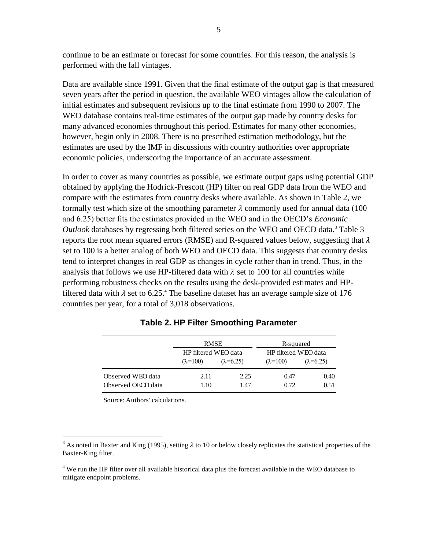continue to be an estimate or forecast for some countries. For this reason, the analysis is performed with the fall vintages.

Data are available since 1991. Given that the final estimate of the output gap is that measured seven years after the period in question, the available WEO vintages allow the calculation of initial estimates and subsequent revisions up to the final estimate from 1990 to 2007. The WEO database contains real-time estimates of the output gap made by country desks for many advanced economies throughout this period. Estimates for many other economies, however, begin only in 2008. There is no prescribed estimation methodology, but the estimates are used by the IMF in discussions with country authorities over appropriate economic policies, underscoring the importance of an accurate assessment.

In order to cover as many countries as possible, we estimate output gaps using potential GDP obtained by applying the Hodrick-Prescott (HP) filter on real GDP data from the WEO and compare with the estimates from country desks where available. As shown in Table 2, we formally test which size of the smoothing parameter  $\lambda$  commonly used for annual data (100) and 6.25) better fits the estimates provided in the WEO and in the OECD's *Economic Outlook* databases by regressing both filtered series on the WEO and OECD data.<sup>3</sup> Table 3 reports the root mean squared errors (RMSE) and R-squared values below, suggesting that  $\lambda$ set to 100 is a better analog of both WEO and OECD data. This suggests that country desks tend to interpret changes in real GDP as changes in cycle rather than in trend. Thus, in the analysis that follows we use HP-filtered data with  $\lambda$  set to 100 for all countries while performing robustness checks on the results using the desk-provided estimates and HPfiltered data with  $\lambda$  set to 6.25.<sup>4</sup> The baseline dataset has an average sample size of 176 countries per year, for a total of 3,018 observations.

|                    | <b>RMSE</b>          |                    | R-squared            |                    |
|--------------------|----------------------|--------------------|----------------------|--------------------|
|                    | HP filtered WEO data |                    | HP filtered WEO data |                    |
|                    | $(\lambda=100)$      | $(\lambda = 6.25)$ | $(\lambda=100)$      | $(\lambda = 6.25)$ |
| Observed WEO data  | 2.11                 | 2.25               | 0.47                 | 0.40               |
| Observed OECD data | 1.10                 | 1.47               | 0.72                 | 0.51               |

**Table 2. HP Filter Smoothing Parameter**

Source: Authors' calculations.

<sup>&</sup>lt;sup>3</sup> As noted in Baxter and King (1995), setting  $\lambda$  to 10 or below closely replicates the statistical properties of the Baxter-King filter.

<sup>&</sup>lt;sup>4</sup> We run the HP filter over all available historical data plus the forecast available in the WEO database to mitigate endpoint problems.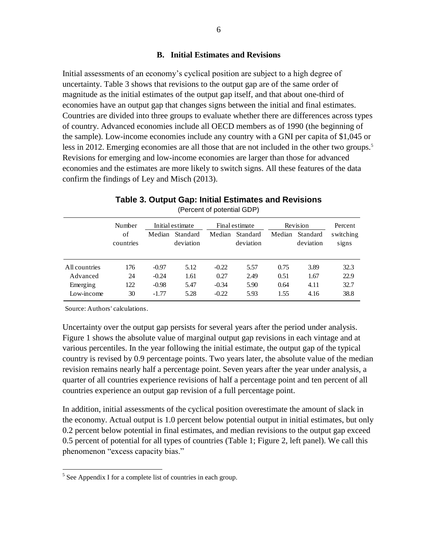#### **B. Initial Estimates and Revisions**

Initial assessments of an economy's cyclical position are subject to a high degree of uncertainty. Table 3 shows that revisions to the output gap are of the same order of magnitude as the initial estimates of the output gap itself, and that about one-third of economies have an output gap that changes signs between the initial and final estimates. Countries are divided into three groups to evaluate whether there are differences across types of country. Advanced economies include all OECD members as of 1990 (the beginning of the sample). Low-income economies include any country with a GNI per capita of \$1,045 or less in 2012. Emerging economies are all those that are not included in the other two groups.<sup>5</sup> Revisions for emerging and low-income economies are larger than those for advanced economies and the estimates are more likely to switch signs. All these features of the data confirm the findings of Ley and Misch (2013).

## Number Initial estimate Final estimate Revision Percent (Percent of potential GDP)<br>
of Median Standard Median Standard Median Standard switching<br>
of Median Standard Median Standard switching<br>
of deviation deviation deviation signs countries deviation deviation deviation signs All countries 176 -0.97 5.12 -0.22 5.57 0.75 3.89 32.3 Advanced 24 -0.24 1.61 0.27 2.49 0.51 1.67 22.9 Emerging 122 -0.98 5.47 -0.34 5.90 0.64 4.11 32.7

Low-income 30 -1.77 5.28 -0.22 5.93 1.55 4.16 38.8

**Table 3. Output Gap: Initial Estimates and Revisions** (Percent of potential GDP)

Source: Authors' calculations.

 $\overline{a}$ 

Uncertainty over the output gap persists for several years after the period under analysis. Figure 1 shows the absolute value of marginal output gap revisions in each vintage and at various percentiles. In the year following the initial estimate, the output gap of the typical country is revised by 0.9 percentage points. Two years later, the absolute value of the median revision remains nearly half a percentage point. Seven years after the year under analysis, a quarter of all countries experience revisions of half a percentage point and ten percent of all countries experience an output gap revision of a full percentage point.

In addition, initial assessments of the cyclical position overestimate the amount of slack in the economy. Actual output is 1.0 percent below potential output in initial estimates, but only 0.2 percent below potential in final estimates, and median revisions to the output gap exceed 0.5 percent of potential for all types of countries (Table 1; Figure 2, left panel). We call this phenomenon "excess capacity bias."

 $<sup>5</sup>$  See Appendix I for a complete list of countries in each group.</sup>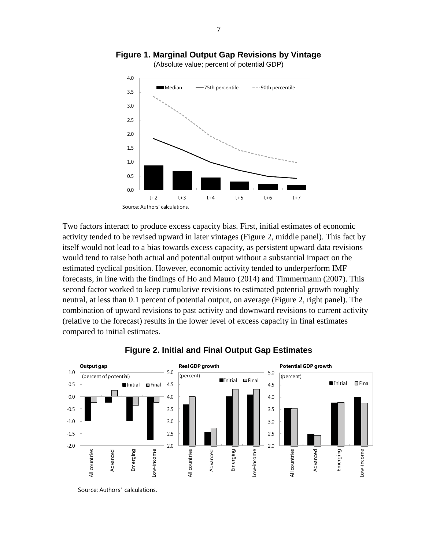

**Figure 1. Marginal Output Gap Revisions by Vintage**

Two factors interact to produce excess capacity bias. First, initial estimates of economic activity tended to be revised upward in later vintages (Figure 2, middle panel). This fact by itself would not lead to a bias towards excess capacity, as persistent upward data revisions would tend to raise both actual and potential output without a substantial impact on the estimated cyclical position. However, economic activity tended to underperform IMF forecasts, in line with the findings of Ho and Mauro (2014) and Timmermann (2007). This second factor worked to keep cumulative revisions to estimated potential growth roughly neutral, at less than 0.1 percent of potential output, on average (Figure 2, right panel). The combination of upward revisions to past activity and downward revisions to current activity (relative to the forecast) results in the lower level of excess capacity in final estimates compared to initial estimates.



## **Figure 2. Initial and Final Output Gap Estimates**

Source: Authors' calculations.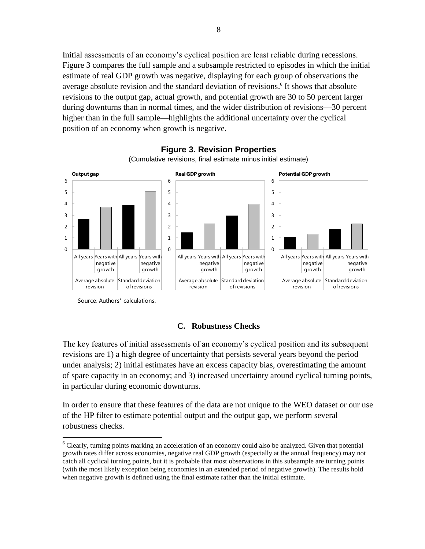Initial assessments of an economy's cyclical position are least reliable during recessions. Figure 3 compares the full sample and a subsample restricted to episodes in which the initial estimate of real GDP growth was negative, displaying for each group of observations the average absolute revision and the standard deviation of revisions. 6 It shows that absolute revisions to the output gap, actual growth, and potential growth are 30 to 50 percent larger during downturns than in normal times, and the wider distribution of revisions—30 percent higher than in the full sample—highlights the additional uncertainty over the cyclical position of an economy when growth is negative.



**Figure 3. Revision Properties** (Cumulative revisions, final estimate minus initial estimate)

Source: Authors' calculations.

 $\overline{a}$ 

#### **C. Robustness Checks**

The key features of initial assessments of an economy's cyclical position and its subsequent revisions are 1) a high degree of uncertainty that persists several years beyond the period under analysis; 2) initial estimates have an excess capacity bias, overestimating the amount of spare capacity in an economy; and 3) increased uncertainty around cyclical turning points, in particular during economic downturns.

In order to ensure that these features of the data are not unique to the WEO dataset or our use of the HP filter to estimate potential output and the output gap, we perform several robustness checks.

<sup>&</sup>lt;sup>6</sup> Clearly, turning points marking an acceleration of an economy could also be analyzed. Given that potential growth rates differ across economies, negative real GDP growth (especially at the annual frequency) may not catch all cyclical turning points, but it is probable that most observations in this subsample are turning points (with the most likely exception being economies in an extended period of negative growth). The results hold when negative growth is defined using the final estimate rather than the initial estimate.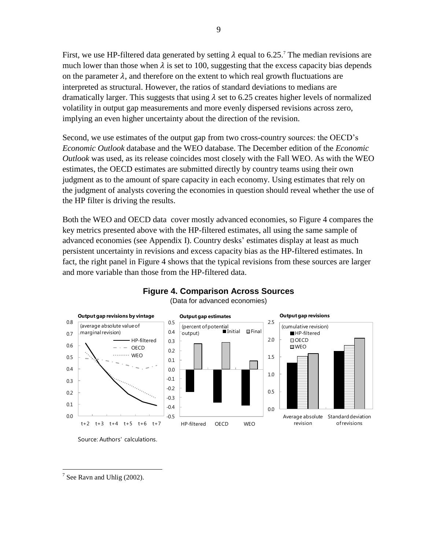First, we use HP-filtered data generated by setting  $\lambda$  equal to 6.25.<sup>7</sup> The median revisions are much lower than those when  $\lambda$  is set to 100, suggesting that the excess capacity bias depends on the parameter  $\lambda$ , and therefore on the extent to which real growth fluctuations are interpreted as structural. However, the ratios of standard deviations to medians are dramatically larger. This suggests that using  $\lambda$  set to 6.25 creates higher levels of normalized volatility in output gap measurements and more evenly dispersed revisions across zero, implying an even higher uncertainty about the direction of the revision.

Second, we use estimates of the output gap from two cross-country sources: the OECD's *Economic Outlook* database and the WEO database. The December edition of the *Economic Outlook* was used, as its release coincides most closely with the Fall WEO. As with the WEO estimates, the OECD estimates are submitted directly by country teams using their own judgment as to the amount of spare capacity in each economy. Using estimates that rely on the judgment of analysts covering the economies in question should reveal whether the use of the HP filter is driving the results.

Both the WEO and OECD data cover mostly advanced economies, so Figure 4 compares the key metrics presented above with the HP-filtered estimates, all using the same sample of advanced economies (see Appendix I). Country desks' estimates display at least as much persistent uncertainty in revisions and excess capacity bias as the HP-filtered estimates. In fact, the right panel in Figure 4 shows that the typical revisions from these sources are larger and more variable than those from the HP-filtered data.



## **Figure 4. Comparison Across Sources**

Source: Authors' calculations.

<sup>(</sup>Data for advanced economies)

 $\overline{a}$  $7$  See Ravn and Uhlig (2002).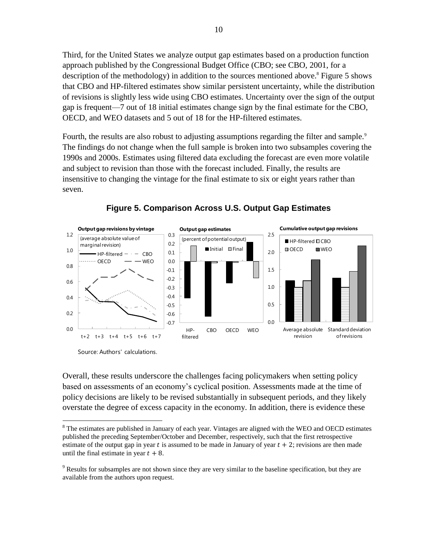Third, for the United States we analyze output gap estimates based on a production function approach published by the Congressional Budget Office (CBO; see CBO, 2001, for a description of the methodology) in addition to the sources mentioned above.<sup>8</sup> Figure 5 shows that CBO and HP-filtered estimates show similar persistent uncertainty, while the distribution of revisions is slightly less wide using CBO estimates. Uncertainty over the sign of the output gap is frequent—7 out of 18 initial estimates change sign by the final estimate for the CBO, OECD, and WEO datasets and 5 out of 18 for the HP-filtered estimates.

Fourth, the results are also robust to adjusting assumptions regarding the filter and sample.<sup>9</sup> The findings do not change when the full sample is broken into two subsamples covering the 1990s and 2000s. Estimates using filtered data excluding the forecast are even more volatile and subject to revision than those with the forecast included. Finally, the results are insensitive to changing the vintage for the final estimate to six or eight years rather than seven.



## **Figure 5. Comparison Across U.S. Output Gap Estimates**

Source: Authors' calculations.

Overall, these results underscore the challenges facing policymakers when setting policy based on assessments of an economy's cyclical position. Assessments made at the time of policy decisions are likely to be revised substantially in subsequent periods, and they likely overstate the degree of excess capacity in the economy. In addition, there is evidence these

 $\overline{a}$ <sup>8</sup> The estimates are published in January of each year. Vintages are aligned with the WEO and OECD estimates published the preceding September/October and December, respectively, such that the first retrospective estimate of the output gap in year t is assumed to be made in January of year  $t + 2$ ; revisions are then made until the final estimate in year  $t + 8$ .

<sup>&</sup>lt;sup>9</sup> Results for subsamples are not shown since they are very similar to the baseline specification, but they are available from the authors upon request.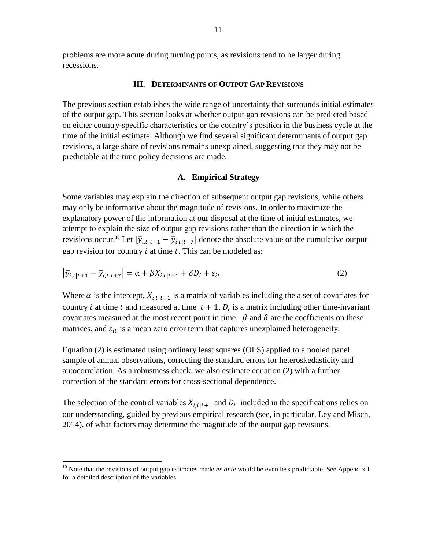problems are more acute during turning points, as revisions tend to be larger during recessions.

#### **III. DETERMINANTS OF OUTPUT GAP REVISIONS**

The previous section establishes the wide range of uncertainty that surrounds initial estimates of the output gap. This section looks at whether output gap revisions can be predicted based on either country-specific characteristics or the country's position in the business cycle at the time of the initial estimate. Although we find several significant determinants of output gap revisions, a large share of revisions remains unexplained, suggesting that they may not be predictable at the time policy decisions are made.

#### **A. Empirical Strategy**

Some variables may explain the direction of subsequent output gap revisions, while others may only be informative about the magnitude of revisions. In order to maximize the explanatory power of the information at our disposal at the time of initial estimates, we attempt to explain the size of output gap revisions rather than the direction in which the revisions occur.<sup>10</sup> Let  $|\bar{y}_{i,t}|_{t+1} - \bar{y}_{i,t}|_{t+7}$  denote the absolute value of the cumulative output gap revision for country  $i$  at time  $t$ . This can be modeled as:

$$
\left|\overline{y}_{i,t|t+1} - \overline{y}_{i,t|t+7}\right| = \alpha + \beta X_{i,t|t+1} + \delta D_i + \varepsilon_{it}
$$
\n(2)

Where  $\alpha$  is the intercept,  $X_{i,t|t+1}$  is a matrix of variables including the a set of covariates for country *i* at time t and measured at time  $t + 1$ ,  $D_i$  is a matrix including other time-invariant covariates measured at the most recent point in time,  $\beta$  and  $\delta$  are the coefficients on these matrices, and  $\varepsilon_{it}$  is a mean zero error term that captures unexplained heterogeneity.

Equation (2) is estimated using ordinary least squares (OLS) applied to a pooled panel sample of annual observations, correcting the standard errors for heteroskedasticity and autocorrelation. As a robustness check, we also estimate equation (2) with a further correction of the standard errors for cross-sectional dependence.

The selection of the control variables  $X_{i,t|t+1}$  and  $D_i$  included in the specifications relies on our understanding, guided by previous empirical research (see, in particular, Ley and Misch, 2014), of what factors may determine the magnitude of the output gap revisions.

<sup>&</sup>lt;sup>10</sup> Note that the revisions of output gap estimates made *ex ante* would be even less predictable. See Appendix I for a detailed description of the variables.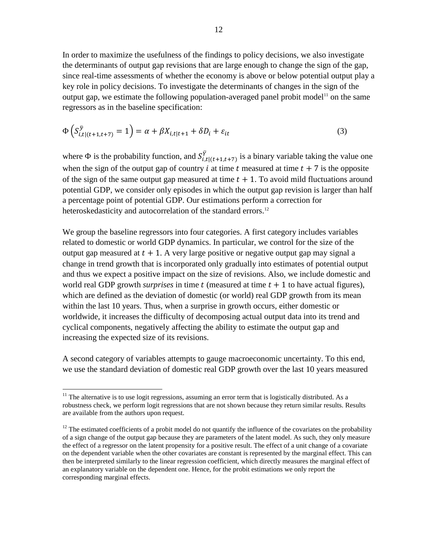In order to maximize the usefulness of the findings to policy decisions, we also investigate the determinants of output gap revisions that are large enough to change the sign of the gap, since real-time assessments of whether the economy is above or below potential output play a key role in policy decisions. To investigate the determinants of changes in the sign of the output gap, we estimate the following population-averaged panel probit model<sup>11</sup> on the same regressors as in the baseline specification:

$$
\Phi\left(S_{i,t|(t+1,t+7)}^{\bar{y}}\right) = \alpha + \beta X_{i,t|t+1} + \delta D_i + \varepsilon_{it}
$$
\n(3)

where  $\Phi$  is the probability function, and  $S_{i,t|(t+1,t+7)}^{\bar{Y}}$  is a binary variable taking the value one when the sign of the output gap of country i at time t measured at time  $t + 7$  is the opposite of the sign of the same output gap measured at time  $t + 1$ . To avoid mild fluctuations around potential GDP, we consider only episodes in which the output gap revision is larger than half a percentage point of potential GDP. Our estimations perform a correction for heteroskedasticity and autocorrelation of the standard errors.<sup>12</sup>

We group the baseline regressors into four categories. A first category includes variables related to domestic or world GDP dynamics. In particular, we control for the size of the output gap measured at  $t + 1$ . A very large positive or negative output gap may signal a change in trend growth that is incorporated only gradually into estimates of potential output and thus we expect a positive impact on the size of revisions. Also, we include domestic and world real GDP growth *surprises* in time  $t$  (measured at time  $t + 1$  to have actual figures), which are defined as the deviation of domestic (or world) real GDP growth from its mean within the last 10 years. Thus, when a surprise in growth occurs, either domestic or worldwide, it increases the difficulty of decomposing actual output data into its trend and cyclical components, negatively affecting the ability to estimate the output gap and increasing the expected size of its revisions.

A second category of variables attempts to gauge macroeconomic uncertainty. To this end, we use the standard deviation of domestic real GDP growth over the last 10 years measured

 $11$  The alternative is to use logit regressions, assuming an error term that is logistically distributed. As a robustness check, we perform logit regressions that are not shown because they return similar results. Results are available from the authors upon request.

 $12$  The estimated coefficients of a probit model do not quantify the influence of the covariates on the probability of a sign change of the output gap because they are parameters of the latent model. As such, they only measure the effect of a regressor on the latent propensity for a positive result. The effect of a unit change of a covariate on the dependent variable when the other covariates are constant is represented by the marginal effect. This can then be interpreted similarly to the linear regression coefficient, which directly measures the marginal effect of an explanatory variable on the dependent one. Hence, for the probit estimations we only report the corresponding marginal effects.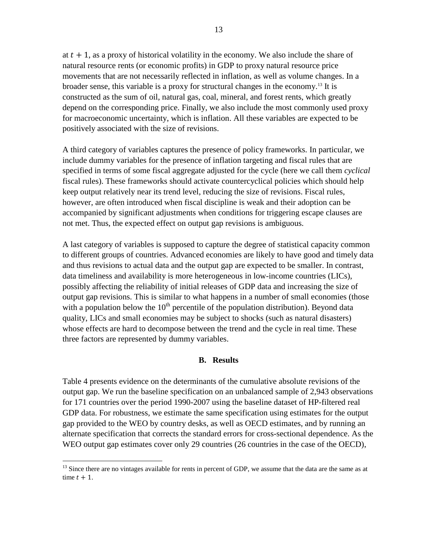at  $t + 1$ , as a proxy of historical volatility in the economy. We also include the share of natural resource rents (or economic profits) in GDP to proxy natural resource price movements that are not necessarily reflected in inflation, as well as volume changes. In a broader sense, this variable is a proxy for structural changes in the economy.<sup>13</sup> It is constructed as the sum of oil, natural gas, coal, mineral, and forest rents, which greatly depend on the corresponding price. Finally, we also include the most commonly used proxy for macroeconomic uncertainty, which is inflation. All these variables are expected to be positively associated with the size of revisions.

A third category of variables captures the presence of policy frameworks. In particular, we include dummy variables for the presence of inflation targeting and fiscal rules that are specified in terms of some fiscal aggregate adjusted for the cycle (here we call them *cyclical* fiscal rules). These frameworks should activate countercyclical policies which should help keep output relatively near its trend level, reducing the size of revisions. Fiscal rules, however, are often introduced when fiscal discipline is weak and their adoption can be accompanied by significant adjustments when conditions for triggering escape clauses are not met. Thus, the expected effect on output gap revisions is ambiguous.

A last category of variables is supposed to capture the degree of statistical capacity common to different groups of countries. Advanced economies are likely to have good and timely data and thus revisions to actual data and the output gap are expected to be smaller. In contrast, data timeliness and availability is more heterogeneous in low-income countries (LICs), possibly affecting the reliability of initial releases of GDP data and increasing the size of output gap revisions. This is similar to what happens in a number of small economies (those with a population below the  $10<sup>th</sup>$  percentile of the population distribution). Beyond data quality, LICs and small economies may be subject to shocks (such as natural disasters) whose effects are hard to decompose between the trend and the cycle in real time. These three factors are represented by dummy variables.

## **B. Results**

Table 4 presents evidence on the determinants of the cumulative absolute revisions of the output gap. We run the baseline specification on an unbalanced sample of 2,943 observations for 171 countries over the period 1990-2007 using the baseline dataset of HP-filtered real GDP data. For robustness, we estimate the same specification using estimates for the output gap provided to the WEO by country desks, as well as OECD estimates, and by running an alternate specification that corrects the standard errors for cross-sectional dependence. As the WEO output gap estimates cover only 29 countries (26 countries in the case of the OECD),

<sup>&</sup>lt;sup>13</sup> Since there are no vintages available for rents in percent of GDP, we assume that the data are the same as at time  $t + 1$ .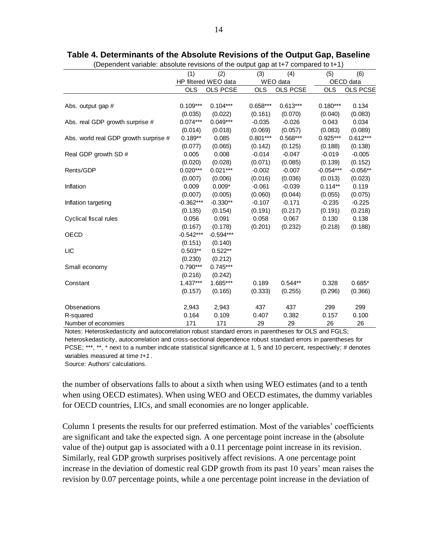|                                       | (1)         | (2)                  | ັ<br>(3)   | (4)             | (5)         | (6)             |
|---------------------------------------|-------------|----------------------|------------|-----------------|-------------|-----------------|
|                                       |             | HP filtered WEO data |            | WEO data        |             | OECD data       |
|                                       | <b>OLS</b>  | <b>OLS PCSE</b>      | <b>OLS</b> | <b>OLS PCSE</b> | <b>OLS</b>  | <b>OLS PCSE</b> |
|                                       |             |                      |            |                 |             |                 |
| Abs. output gap #                     | $0.109***$  | $0.104***$           | $0.658***$ | $0.613***$      | $0.180***$  | 0.134           |
|                                       | (0.035)     | (0.022)              | (0.161)    | (0.070)         | (0.040)     | (0.083)         |
| Abs. real GDP growth surprise #       | $0.074***$  | $0.049***$           | $-0.035$   | $-0.026$        | 0.043       | 0.034           |
|                                       | (0.014)     | (0.018)              | (0.069)    | (0.057)         | (0.083)     | (0.089)         |
| Abs. world real GDP growth surprise # | $0.189**$   | 0.085                | $0.801***$ | $0.568***$      | $0.925***$  | $0.612***$      |
|                                       | (0.077)     | (0.065)              | (0.142)    | (0.125)         | (0.188)     | (0.138)         |
| Real GDP growth SD #                  | 0.005       | 0.008                | $-0.014$   | $-0.047$        | $-0.019$    | $-0.005$        |
|                                       | (0.020)     | (0.028)              | (0.071)    | (0.085)         | (0.139)     | (0.152)         |
| Rents/GDP                             | $0.020***$  | $0.021***$           | $-0.002$   | $-0.007$        | $-0.054***$ | $-0.056**$      |
|                                       | (0.007)     | (0.006)              | (0.016)    | (0.036)         | (0.013)     | (0.023)         |
| Inflation                             | 0.009       | $0.009*$             | $-0.061$   | $-0.039$        | $0.114**$   | 0.119           |
|                                       | (0.007)     | (0.005)              | (0.060)    | (0.044)         | (0.055)     | (0.075)         |
| Inflation targeting                   | $-0.362***$ | $-0.330**$           | $-0.107$   | $-0.171$        | $-0.235$    | $-0.225$        |
|                                       | (0.135)     | (0.154)              | (0.191)    | (0.217)         | (0.191)     | (0.218)         |
| Cyclical fiscal rules                 | 0.056       | 0.091                | 0.058      | 0.067           | 0.130       | 0.138           |
|                                       | (0.167)     | (0.178)              | (0.201)    | (0.232)         | (0.218)     | (0.188)         |
| OECD                                  | $-0.542***$ | $-0.594***$          |            |                 |             |                 |
|                                       | (0.151)     | (0.140)              |            |                 |             |                 |
| LIC                                   | $0.503**$   | $0.522**$            |            |                 |             |                 |
|                                       | (0.230)     | (0.212)              |            |                 |             |                 |
| Small economy                         | $0.790***$  | $0.745***$           |            |                 |             |                 |
|                                       | (0.216)     | (0.242)              |            |                 |             |                 |
| Constant                              | $1.437***$  | 1.685***             | 0.189      | $0.544**$       | 0.328       | $0.685*$        |
|                                       | (0.157)     | (0.165)              | (0.333)    | (0.255)         | (0.296)     | (0.366)         |
| Observations                          | 2,943       | 2,943                | 437        | 437             | 299         | 299             |
| R-squared                             | 0.164       | 0.109                | 0.407      | 0.382           | 0.157       | 0.100           |
| Number of economies                   | 171         | 171                  | 29         | 29              | 26          | 26              |

#### **Table 4. Determinants of the Absolute Revisions of the Output Gap, Baseline**

(Dependent variable: absolute revisions of the output gap at t+7 compared to t+1)

Notes: Heteroskedasticity and autocorrelation robust standard errors in parentheses for OLS and FGLS; heteroskedasticity, autocorrelation and cross-sectional dependence robust standard errors in parentheses for PCSE; \*\*\*, \*\*, \* next to a number indicate statistical significance at 1, 5 and 10 percent, respectively; # denotes variables measured at time *t+1*.

Source: Authors' calculations.

the number of observations falls to about a sixth when using WEO estimates (and to a tenth when using OECD estimates). When using WEO and OECD estimates, the dummy variables for OECD countries, LICs, and small economies are no longer applicable.

Column 1 presents the results for our preferred estimation. Most of the variables' coefficients are significant and take the expected sign. A one percentage point increase in the (absolute value of the) output gap is associated with a 0.11 percentage point increase in its revision. Similarly, real GDP growth surprises positively affect revisions. A one percentage point increase in the deviation of domestic real GDP growth from its past 10 years' mean raises the revision by 0.07 percentage points, while a one percentage point increase in the deviation of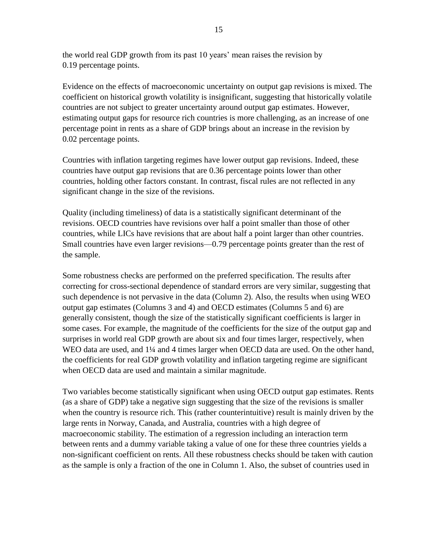the world real GDP growth from its past 10 years' mean raises the revision by 0.19 percentage points.

Evidence on the effects of macroeconomic uncertainty on output gap revisions is mixed. The coefficient on historical growth volatility is insignificant, suggesting that historically volatile countries are not subject to greater uncertainty around output gap estimates. However, estimating output gaps for resource rich countries is more challenging, as an increase of one percentage point in rents as a share of GDP brings about an increase in the revision by 0.02 percentage points.

Countries with inflation targeting regimes have lower output gap revisions. Indeed, these countries have output gap revisions that are 0.36 percentage points lower than other countries, holding other factors constant. In contrast, fiscal rules are not reflected in any significant change in the size of the revisions.

Quality (including timeliness) of data is a statistically significant determinant of the revisions. OECD countries have revisions over half a point smaller than those of other countries, while LICs have revisions that are about half a point larger than other countries. Small countries have even larger revisions—0.79 percentage points greater than the rest of the sample.

Some robustness checks are performed on the preferred specification. The results after correcting for cross-sectional dependence of standard errors are very similar, suggesting that such dependence is not pervasive in the data (Column 2). Also, the results when using WEO output gap estimates (Columns 3 and 4) and OECD estimates (Columns 5 and 6) are generally consistent, though the size of the statistically significant coefficients is larger in some cases. For example, the magnitude of the coefficients for the size of the output gap and surprises in world real GDP growth are about six and four times larger, respectively, when WEO data are used, and 1¼ and 4 times larger when OECD data are used. On the other hand, the coefficients for real GDP growth volatility and inflation targeting regime are significant when OECD data are used and maintain a similar magnitude.

Two variables become statistically significant when using OECD output gap estimates. Rents (as a share of GDP) take a negative sign suggesting that the size of the revisions is smaller when the country is resource rich. This (rather counterintuitive) result is mainly driven by the large rents in Norway, Canada, and Australia, countries with a high degree of macroeconomic stability. The estimation of a regression including an interaction term between rents and a dummy variable taking a value of one for these three countries yields a non-significant coefficient on rents. All these robustness checks should be taken with caution as the sample is only a fraction of the one in Column 1. Also, the subset of countries used in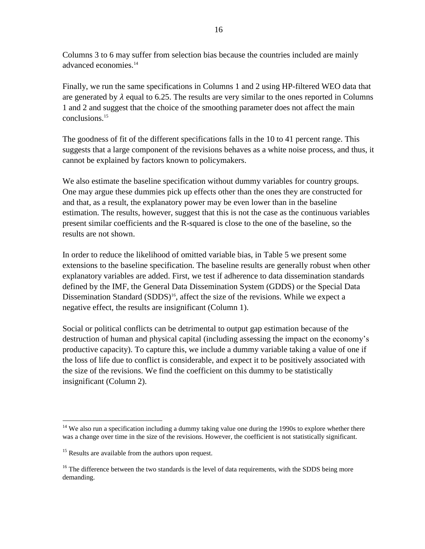Columns 3 to 6 may suffer from selection bias because the countries included are mainly advanced economies.<sup>14</sup>

Finally, we run the same specifications in Columns 1 and 2 using HP-filtered WEO data that are generated by  $\lambda$  equal to 6.25. The results are very similar to the ones reported in Columns 1 and 2 and suggest that the choice of the smoothing parameter does not affect the main conclusions.<sup>15</sup>

The goodness of fit of the different specifications falls in the 10 to 41 percent range. This suggests that a large component of the revisions behaves as a white noise process, and thus, it cannot be explained by factors known to policymakers.

We also estimate the baseline specification without dummy variables for country groups. One may argue these dummies pick up effects other than the ones they are constructed for and that, as a result, the explanatory power may be even lower than in the baseline estimation. The results, however, suggest that this is not the case as the continuous variables present similar coefficients and the R-squared is close to the one of the baseline, so the results are not shown.

In order to reduce the likelihood of omitted variable bias, in Table 5 we present some extensions to the baseline specification. The baseline results are generally robust when other explanatory variables are added. First, we test if adherence to data dissemination standards defined by the IMF, the General Data Dissemination System (GDDS) or the Special Data Dissemination Standard (SDDS)<sup>16</sup>, affect the size of the revisions. While we expect a negative effect, the results are insignificant (Column 1).

Social or political conflicts can be detrimental to output gap estimation because of the destruction of human and physical capital (including assessing the impact on the economy's productive capacity). To capture this, we include a dummy variable taking a value of one if the loss of life due to conflict is considerable, and expect it to be positively associated with the size of the revisions. We find the coefficient on this dummy to be statistically insignificant (Column 2).

 $14$  We also run a specification including a dummy taking value one during the 1990s to explore whether there was a change over time in the size of the revisions. However, the coefficient is not statistically significant.

<sup>&</sup>lt;sup>15</sup> Results are available from the authors upon request.

<sup>&</sup>lt;sup>16</sup> The difference between the two standards is the level of data requirements, with the SDDS being more demanding.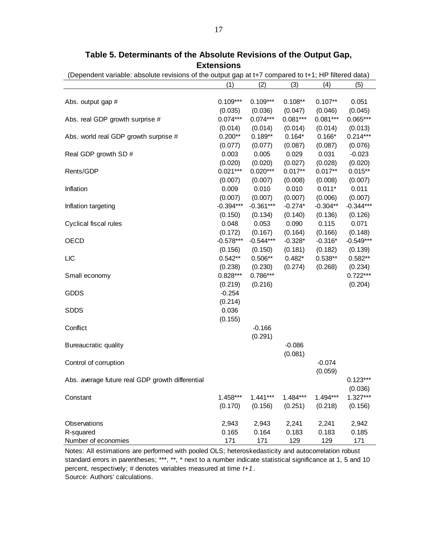|                                                  | (1)                  | (2)         | (3)        | (4)        | (5)                   |
|--------------------------------------------------|----------------------|-------------|------------|------------|-----------------------|
|                                                  |                      |             |            |            |                       |
| Abs. output gap #                                | $0.109***$           | $0.109***$  | $0.108**$  | $0.107**$  | 0.051                 |
|                                                  | (0.035)              | (0.036)     | (0.047)    | (0.046)    | (0.045)               |
| Abs. real GDP growth surprise #                  | $0.074***$           | $0.074***$  | $0.081***$ | $0.081***$ | $0.065***$            |
|                                                  | (0.014)              | (0.014)     | (0.014)    | (0.014)    | (0.013)               |
| Abs. world real GDP growth surprise #            | $0.200**$            | $0.189**$   | $0.164*$   | $0.166*$   | $0.214***$            |
|                                                  | (0.077)              | (0.077)     | (0.087)    | (0.087)    | (0.076)               |
| Real GDP growth SD #                             | 0.003                | 0.005       | 0.029      | 0.031      | $-0.023$              |
|                                                  | (0.020)              | (0.020)     | (0.027)    | (0.028)    | (0.020)               |
| Rents/GDP                                        | $0.021***$           | $0.020***$  | $0.017**$  | $0.017**$  | $0.015**$             |
|                                                  | (0.007)              | (0.007)     | (0.008)    | (0.008)    | (0.007)               |
| Inflation                                        | 0.009                | 0.010       | 0.010      | $0.011*$   | 0.011                 |
|                                                  | (0.007)              | (0.007)     | (0.007)    | (0.006)    | (0.007)               |
| Inflation targeting                              | $-0.394***$          | $-0.361***$ | $-0.274*$  | $-0.304**$ | $-0.344***$           |
|                                                  | (0.150)              | (0.134)     | (0.140)    | (0.136)    | (0.126)               |
| Cyclical fiscal rules                            | 0.048                | 0.053       | 0.090      | 0.115      | 0.071                 |
|                                                  | (0.172)              | (0.167)     | (0.164)    | (0.166)    | (0.148)               |
| <b>OECD</b>                                      | $-0.578***$          | $-0.544***$ | $-0.328*$  | $-0.316*$  | $-0.549***$           |
|                                                  | (0.156)<br>$0.542**$ | (0.150)     | (0.181)    | (0.182)    | (0.139)               |
| LIC                                              |                      | $0.506**$   | $0.482*$   | $0.538**$  | $0.582**$             |
|                                                  | (0.238)              | (0.230)     | (0.274)    | (0.268)    | (0.234)               |
| Small economy                                    | $0.828***$           | $0.786***$  |            |            | $0.722***$            |
|                                                  | (0.219)              | (0.216)     |            |            | (0.204)               |
| <b>GDDS</b>                                      | $-0.254$             |             |            |            |                       |
|                                                  | (0.214)              |             |            |            |                       |
| <b>SDDS</b>                                      | 0.036                |             |            |            |                       |
|                                                  | (0.155)              |             |            |            |                       |
| Conflict                                         |                      | $-0.166$    |            |            |                       |
|                                                  |                      | (0.291)     | $-0.086$   |            |                       |
| Bureaucratic quality                             |                      |             | (0.081)    |            |                       |
|                                                  |                      |             |            |            |                       |
| Control of corruption                            |                      |             |            | $-0.074$   |                       |
|                                                  |                      |             |            | (0.059)    | $0.123***$            |
| Abs. average future real GDP growth differential |                      |             |            |            |                       |
|                                                  | $1.458***$           | $1.441***$  | $1.484***$ | 1.494***   | (0.036)<br>$1.327***$ |
| Constant                                         | (0.170)              | (0.156)     | (0.251)    | (0.218)    | (0.156)               |
|                                                  |                      |             |            |            |                       |
| Observations                                     | 2,943                | 2,943       | 2,241      | 2,241      | 2,942                 |
| R-squared                                        | 0.165                | 0.164       | 0.183      | 0.183      | 0.185                 |
| Number of economies                              | 171                  | 171         | 129        | 129        | 171                   |

**Table 5. Determinants of the Absolute Revisions of the Output Gap, Extensions**

(Dependent variable: absolute revisions of the output gap at t+7 compared to t+1; HP filtered data)

Notes: All estimations are performed with pooled OLS; heteroskedasticity and autocorrelation robust standard errors in parentheses; \*\*\*, \*\*, \* next to a number indicate statistical significance at 1, 5 and 10 percent, respectively; # denotes variables measured at time *t+1*. Source: Authors' calculations.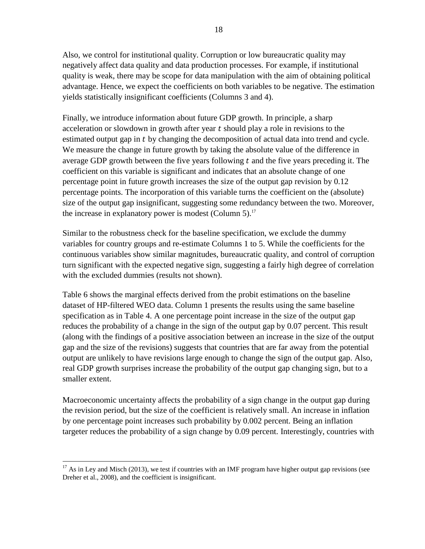Also, we control for institutional quality. Corruption or low bureaucratic quality may negatively affect data quality and data production processes. For example, if institutional quality is weak, there may be scope for data manipulation with the aim of obtaining political advantage. Hence, we expect the coefficients on both variables to be negative. The estimation yields statistically insignificant coefficients (Columns 3 and 4).

Finally, we introduce information about future GDP growth. In principle, a sharp acceleration or slowdown in growth after year  $t$  should play a role in revisions to the estimated output gap in t by changing the decomposition of actual data into trend and cycle. We measure the change in future growth by taking the absolute value of the difference in average GDP growth between the five years following  $t$  and the five years preceding it. The coefficient on this variable is significant and indicates that an absolute change of one percentage point in future growth increases the size of the output gap revision by 0.12 percentage points. The incorporation of this variable turns the coefficient on the (absolute) size of the output gap insignificant, suggesting some redundancy between the two. Moreover, the increase in explanatory power is modest (Column 5).<sup>17</sup>

Similar to the robustness check for the baseline specification, we exclude the dummy variables for country groups and re-estimate Columns 1 to 5. While the coefficients for the continuous variables show similar magnitudes, bureaucratic quality, and control of corruption turn significant with the expected negative sign, suggesting a fairly high degree of correlation with the excluded dummies (results not shown).

Table 6 shows the marginal effects derived from the probit estimations on the baseline dataset of HP-filtered WEO data. Column 1 presents the results using the same baseline specification as in Table 4. A one percentage point increase in the size of the output gap reduces the probability of a change in the sign of the output gap by 0.07 percent. This result (along with the findings of a positive association between an increase in the size of the output gap and the size of the revisions) suggests that countries that are far away from the potential output are unlikely to have revisions large enough to change the sign of the output gap. Also, real GDP growth surprises increase the probability of the output gap changing sign, but to a smaller extent.

Macroeconomic uncertainty affects the probability of a sign change in the output gap during the revision period, but the size of the coefficient is relatively small. An increase in inflation by one percentage point increases such probability by 0.002 percent. Being an inflation targeter reduces the probability of a sign change by 0.09 percent. Interestingly, countries with

 $\overline{a}$  $17$  As in Ley and Misch (2013), we test if countries with an IMF program have higher output gap revisions (see Dreher et al., 2008), and the coefficient is insignificant.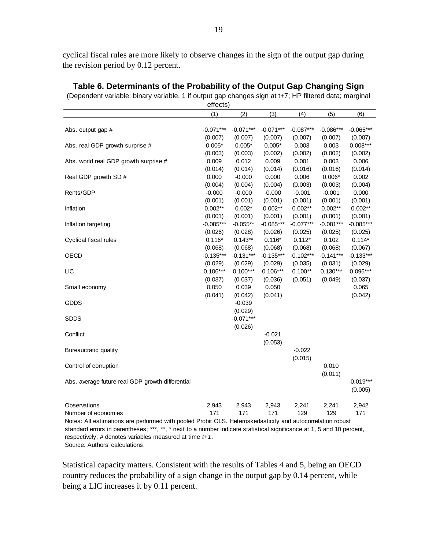cyclical fiscal rules are more likely to observe changes in the sign of the output gap during the revision period by 0.12 percent.

|                                                  | enects)     |             |             |             |             |             |
|--------------------------------------------------|-------------|-------------|-------------|-------------|-------------|-------------|
|                                                  | (1)         | (2)         | (3)         | (4)         | (5)         | (6)         |
|                                                  |             |             |             |             |             |             |
| Abs. output gap #                                | $-0.071***$ | $-0.071***$ | $-0.071***$ | $-0.087***$ | $-0.086***$ | $-0.065***$ |
|                                                  | (0.007)     | (0.007)     | (0.007)     | (0.007)     | (0.007)     | (0.007)     |
| Abs. real GDP growth surprise #                  | $0.005*$    | $0.005*$    | $0.005*$    | 0.003       | 0.003       | $0.008***$  |
|                                                  | (0.003)     | (0.003)     | (0.002)     | (0.002)     | (0.002)     | (0.002)     |
| Abs. world real GDP growth surprise #            | 0.009       | 0.012       | 0.009       | 0.001       | 0.003       | 0.006       |
|                                                  | (0.014)     | (0.014)     | (0.014)     | (0.016)     | (0.016)     | (0.014)     |
| Real GDP growth SD #                             | 0.000       | $-0.000$    | 0.000       | 0.006       | $0.006*$    | 0.002       |
|                                                  | (0.004)     | (0.004)     | (0.004)     | (0.003)     | (0.003)     | (0.004)     |
| Rents/GDP                                        | $-0.000$    | $-0.000$    | $-0.000$    | $-0.001$    | $-0.001$    | 0.000       |
|                                                  | (0.001)     | (0.001)     | (0.001)     | (0.001)     | (0.001)     | (0.001)     |
| Inflation                                        | $0.002**$   | $0.002*$    | $0.002**$   | $0.002**$   | $0.002**$   | $0.002**$   |
|                                                  | (0.001)     | (0.001)     | (0.001)     | (0.001)     | (0.001)     | (0.001)     |
| Inflation targeting                              | $-0.085***$ | $-0.055**$  | $-0.085***$ | $-0.077***$ | $-0.081***$ | $-0.085***$ |
|                                                  | (0.026)     | (0.028)     | (0.026)     | (0.025)     | (0.025)     | (0.025)     |
| Cyclical fiscal rules                            | $0.116*$    | $0.143**$   | $0.116*$    | $0.112*$    | 0.102       | $0.114*$    |
|                                                  | (0.068)     | (0.068)     | (0.068)     | (0.068)     | (0.068)     | (0.067)     |
| OECD                                             | $-0.135***$ | $-0.131***$ | $-0.135***$ | $-0.102***$ | $-0.141***$ | $-0.133***$ |
|                                                  | (0.029)     | (0.029)     | (0.029)     | (0.035)     | (0.031)     | (0.029)     |
| <b>LIC</b>                                       | $0.106***$  | $0.100***$  | $0.106***$  | $0.100**$   | $0.130***$  | $0.096***$  |
|                                                  | (0.037)     | (0.037)     | (0.036)     | (0.051)     | (0.049)     | (0.037)     |
| Small economy                                    | 0.050       | 0.039       | 0.050       |             |             | 0.065       |
|                                                  | (0.041)     | (0.042)     | (0.041)     |             |             | (0.042)     |
| <b>GDDS</b>                                      |             | $-0.039$    |             |             |             |             |
|                                                  |             | (0.029)     |             |             |             |             |
| <b>SDDS</b>                                      |             | $-0.071***$ |             |             |             |             |
|                                                  |             | (0.026)     |             |             |             |             |
| Conflict                                         |             |             | $-0.021$    |             |             |             |
|                                                  |             |             | (0.053)     |             |             |             |
| Bureaucratic quality                             |             |             |             | $-0.022$    |             |             |
|                                                  |             |             |             | (0.015)     |             |             |
| Control of corruption                            |             |             |             |             | 0.010       |             |
|                                                  |             |             |             |             | (0.011)     |             |
| Abs. average future real GDP growth differential |             |             |             |             |             | $-0.019***$ |
|                                                  |             |             |             |             |             | (0.005)     |
| Observations                                     | 2,943       | 2,943       | 2,943       | 2,241       | 2,241       | 2,942       |
| Number of economies                              | 171         | 171         | 171         | 129         | 129         | 171         |
|                                                  |             |             |             |             |             |             |

**Table 6. Determinants of the Probability of the Output Gap Changing Sign**

(Dependent variable: binary variable, 1 if output gap changes sign at t+7; HP filtered data; marginal

effects)

Notes: All estimations are performed with pooled Probit OLS. Heteroskedasticity and autocorrelation robust standard errors in parentheses; \*\*\*, \*\*, \* next to a number indicate statistical significance at 1, 5 and 10 percent, respectively; # denotes variables measured at time *t+1*. Source: Authors' calculations.

Statistical capacity matters. Consistent with the results of Tables 4 and 5, being an OECD country reduces the probability of a sign change in the output gap by 0.14 percent, while being a LIC increases it by 0.11 percent.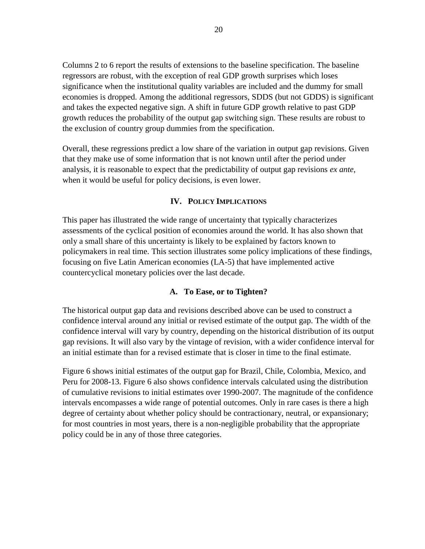Columns 2 to 6 report the results of extensions to the baseline specification. The baseline regressors are robust, with the exception of real GDP growth surprises which loses significance when the institutional quality variables are included and the dummy for small economies is dropped. Among the additional regressors, SDDS (but not GDDS) is significant and takes the expected negative sign. A shift in future GDP growth relative to past GDP growth reduces the probability of the output gap switching sign. These results are robust to the exclusion of country group dummies from the specification.

Overall, these regressions predict a low share of the variation in output gap revisions. Given that they make use of some information that is not known until after the period under analysis, it is reasonable to expect that the predictability of output gap revisions *ex ante*, when it would be useful for policy decisions, is even lower.

## **IV. POLICY IMPLICATIONS**

This paper has illustrated the wide range of uncertainty that typically characterizes assessments of the cyclical position of economies around the world. It has also shown that only a small share of this uncertainty is likely to be explained by factors known to policymakers in real time. This section illustrates some policy implications of these findings, focusing on five Latin American economies (LA-5) that have implemented active countercyclical monetary policies over the last decade.

## **A. To Ease, or to Tighten?**

The historical output gap data and revisions described above can be used to construct a confidence interval around any initial or revised estimate of the output gap. The width of the confidence interval will vary by country, depending on the historical distribution of its output gap revisions. It will also vary by the vintage of revision, with a wider confidence interval for an initial estimate than for a revised estimate that is closer in time to the final estimate.

Figure 6 shows initial estimates of the output gap for Brazil, Chile, Colombia, Mexico, and Peru for 2008-13. Figure 6 also shows confidence intervals calculated using the distribution of cumulative revisions to initial estimates over 1990-2007. The magnitude of the confidence intervals encompasses a wide range of potential outcomes. Only in rare cases is there a high degree of certainty about whether policy should be contractionary, neutral, or expansionary; for most countries in most years, there is a non-negligible probability that the appropriate policy could be in any of those three categories.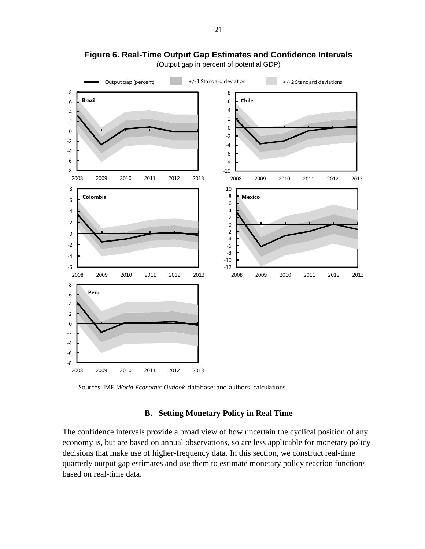

(Output gap in percent of potential GDP)

Sources: IMF, *World Economic Outlook* database; and authors' calculations.

## **B. Setting Monetary Policy in Real Time**

The confidence intervals provide a broad view of how uncertain the cyclical position of any economy is, but are based on annual observations, so are less applicable for monetary policy decisions that make use of higher-frequency data. In this section, we construct real-time quarterly output gap estimates and use them to estimate monetary policy reaction functions based on real-time data.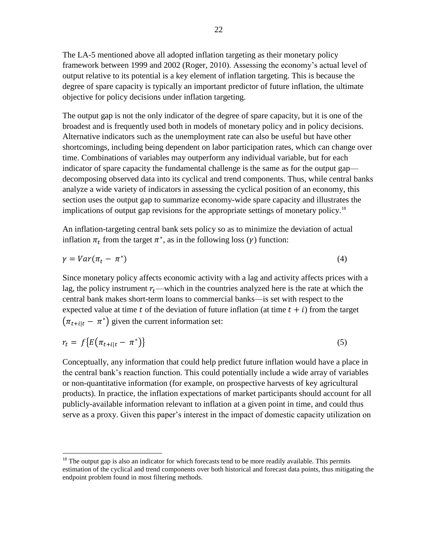The LA-5 mentioned above all adopted inflation targeting as their monetary policy framework between 1999 and 2002 (Roger, 2010). Assessing the economy's actual level of output relative to its potential is a key element of inflation targeting. This is because the degree of spare capacity is typically an important predictor of future inflation, the ultimate objective for policy decisions under inflation targeting.

The output gap is not the only indicator of the degree of spare capacity, but it is one of the broadest and is frequently used both in models of monetary policy and in policy decisions. Alternative indicators such as the unemployment rate can also be useful but have other shortcomings, including being dependent on labor participation rates, which can change over time. Combinations of variables may outperform any individual variable, but for each indicator of spare capacity the fundamental challenge is the same as for the output gap decomposing observed data into its cyclical and trend components. Thus, while central banks analyze a wide variety of indicators in assessing the cyclical position of an economy, this section uses the output gap to summarize economy-wide spare capacity and illustrates the implications of output gap revisions for the appropriate settings of monetary policy.<sup>18</sup>

An inflation-targeting central bank sets policy so as to minimize the deviation of actual inflation  $\pi_t$  from the target  $\pi^*$ , as in the following loss ( $\gamma$ ) function:

$$
\gamma = Var(\pi_t - \pi^*)
$$
\n<sup>(4)</sup>

Since monetary policy affects economic activity with a lag and activity affects prices with a lag, the policy instrument  $r_t$ —which in the countries analyzed here is the rate at which the central bank makes short-term loans to commercial banks—is set with respect to the expected value at time t of the deviation of future inflation (at time  $t + i$ ) from the target  $(\pi_{t+1|t} - \pi^*)$  given the current information set:

$$
r_t = f\{E\big(\pi_{t+i|t} - \pi^*\big)\}\tag{5}
$$

Conceptually, any information that could help predict future inflation would have a place in the central bank's reaction function. This could potentially include a wide array of variables or non-quantitative information (for example, on prospective harvests of key agricultural products). In practice, the inflation expectations of market participants should account for all publicly-available information relevant to inflation at a given point in time, and could thus serve as a proxy. Given this paper's interest in the impact of domestic capacity utilization on

 $18$  The output gap is also an indicator for which forecasts tend to be more readily available. This permits estimation of the cyclical and trend components over both historical and forecast data points, thus mitigating the endpoint problem found in most filtering methods.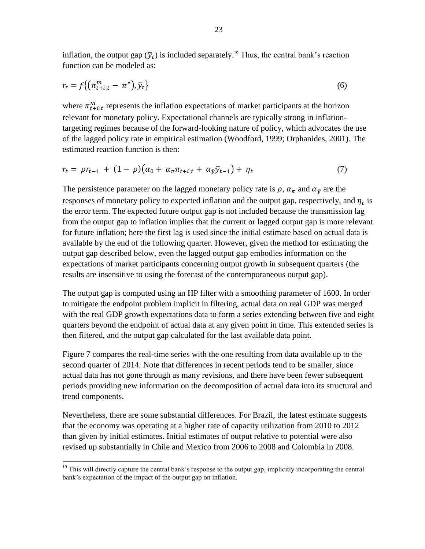inflation, the output gap  $(\bar{y}_t)$  is included separately.<sup>19</sup> Thus, the central bank's reaction function can be modeled as:

$$
r_t = f\left\{ \left( \pi_{t+i|t}^m - \pi^* \right), \bar{y}_t \right\} \tag{6}
$$

where  $\pi_{t+1}^m$  represents the inflation expectations of market participants at the horizon relevant for monetary policy. Expectational channels are typically strong in inflationtargeting regimes because of the forward-looking nature of policy, which advocates the use of the lagged policy rate in empirical estimation (Woodford, 1999; Orphanides, 2001). The estimated reaction function is then:

$$
r_t = \rho r_{t-1} + (1 - \rho)(\alpha_0 + \alpha_\pi \pi_{t+i|t} + \alpha_{\bar{y}} \bar{y}_{t-1}) + \eta_t \tag{7}
$$

The persistence parameter on the lagged monetary policy rate is  $\rho$ ,  $\alpha_{\pi}$  and  $\alpha_{\bar{y}}$  are the responses of monetary policy to expected inflation and the output gap, respectively, and  $\eta_t$  is the error term. The expected future output gap is not included because the transmission lag from the output gap to inflation implies that the current or lagged output gap is more relevant for future inflation; here the first lag is used since the initial estimate based on actual data is available by the end of the following quarter. However, given the method for estimating the output gap described below, even the lagged output gap embodies information on the expectations of market participants concerning output growth in subsequent quarters (the results are insensitive to using the forecast of the contemporaneous output gap).

The output gap is computed using an HP filter with a smoothing parameter of 1600. In order to mitigate the endpoint problem implicit in filtering, actual data on real GDP was merged with the real GDP growth expectations data to form a series extending between five and eight quarters beyond the endpoint of actual data at any given point in time. This extended series is then filtered, and the output gap calculated for the last available data point.

Figure 7 compares the real-time series with the one resulting from data available up to the second quarter of 2014. Note that differences in recent periods tend to be smaller, since actual data has not gone through as many revisions, and there have been fewer subsequent periods providing new information on the decomposition of actual data into its structural and trend components.

Nevertheless, there are some substantial differences. For Brazil, the latest estimate suggests that the economy was operating at a higher rate of capacity utilization from 2010 to 2012 than given by initial estimates. Initial estimates of output relative to potential were also revised up substantially in Chile and Mexico from 2006 to 2008 and Colombia in 2008.

 $\overline{a}$ <sup>19</sup> This will directly capture the central bank's response to the output gap, implicitly incorporating the central bank's expectation of the impact of the output gap on inflation.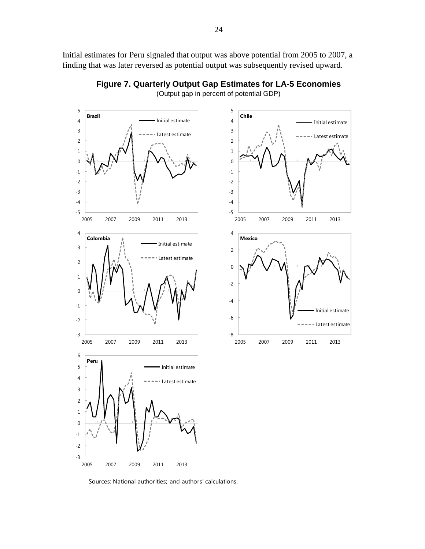Initial estimates for Peru signaled that output was above potential from 2005 to 2007, a finding that was later reversed as potential output was subsequently revised upward.



**Figure 7. Quarterly Output Gap Estimates for LA-5 Economies** (Output gap in percent of potential GDP)

Sources: National authorities; and authors' calculations.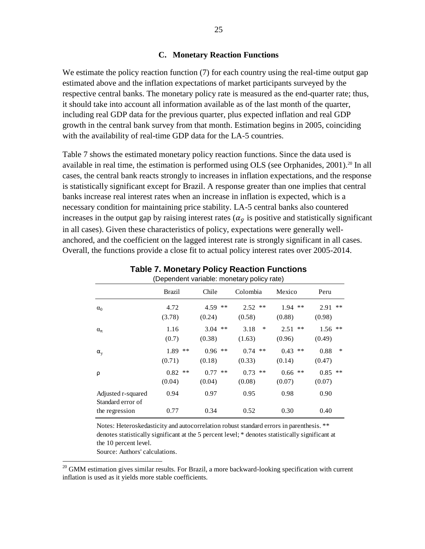#### **C. Monetary Reaction Functions**

We estimate the policy reaction function (7) for each country using the real-time output gap estimated above and the inflation expectations of market participants surveyed by the respective central banks. The monetary policy rate is measured as the end-quarter rate; thus, it should take into account all information available as of the last month of the quarter, including real GDP data for the previous quarter, plus expected inflation and real GDP growth in the central bank survey from that month. Estimation begins in 2005, coinciding with the availability of real-time GDP data for the LA-5 countries.

Table 7 shows the estimated monetary policy reaction functions. Since the data used is available in real time, the estimation is performed using OLS (see Orphanides, 2001).<sup>20</sup> In all cases, the central bank reacts strongly to increases in inflation expectations, and the response is statistically significant except for Brazil. A response greater than one implies that central banks increase real interest rates when an increase in inflation is expected, which is a necessary condition for maintaining price stability. LA-5 central banks also countered increases in the output gap by raising interest rates ( $\alpha_{\bar{v}}$  is positive and statistically significant in all cases). Given these characteristics of policy, expectations were generally wellanchored, and the coefficient on the lagged interest rate is strongly significant in all cases. Overall, the functions provide a close fit to actual policy interest rates over 2005-2014.

| (Dependent variable: monetary policy rate) |                         |                                 |                                 |                                 |                                 |
|--------------------------------------------|-------------------------|---------------------------------|---------------------------------|---------------------------------|---------------------------------|
|                                            | <b>Brazil</b>           | Chile                           | Colombia                        | Mexico                          | Peru                            |
| $\alpha_0$                                 | 4.72<br>(3.78)          | 4.59<br>$\ast$ $\ast$<br>(0.24) | 2.52<br>$\ast$ $\ast$<br>(0.58) | 1.94<br>$\ast$ $\ast$<br>(0.88) | $***$<br>2.91<br>(0.98)         |
| $\alpha_{\pi}$                             | 1.16<br>(0.7)           | $***$<br>3.04<br>(0.38)         | $\ast$<br>3.18<br>(1.63)        | $\ast\ast$<br>2.51<br>(0.96)    | $\ast\ast$<br>1.56<br>(0.49)    |
| $\alpha_{y}$                               | 1.89<br>$***$<br>(0.71) | $***$<br>0.96<br>(0.18)         | $\ast\ast$<br>0.74<br>(0.33)    | 0.43<br>$\ast\ast$<br>(0.14)    | $\ast$<br>0.88<br>(0.47)        |
| ρ                                          | $***$<br>0.82<br>(0.04) | 0.77<br>$***$<br>(0.04)         | 0.73<br>$***$<br>(0.08)         | $***$<br>0.66<br>(0.07)         | $\ast$ $\ast$<br>0.85<br>(0.07) |
| Adjusted r-squared<br>Standard error of    | 0.94                    | 0.97                            | 0.95                            | 0.98                            | 0.90                            |
| the regression                             | 0.77                    | 0.34                            | 0.52                            | 0.30                            | 0.40                            |

|                                                  |  | <b>Table 7. Monetary Policy Reaction Functions</b> |
|--------------------------------------------------|--|----------------------------------------------------|
| $(Dananahath:ialhla: maxahunahun, minahlin:subh$ |  |                                                    |

Notes: Heteroskedasticity and autocorrelation robust standard errors in parenthesis. \*\* denotes statistically significant at the 5 percent level; \* denotes statistically significant at the 10 percent level.

Source: Authors' calculations.

 $20$  GMM estimation gives similar results. For Brazil, a more backward-looking specification with current inflation is used as it yields more stable coefficients.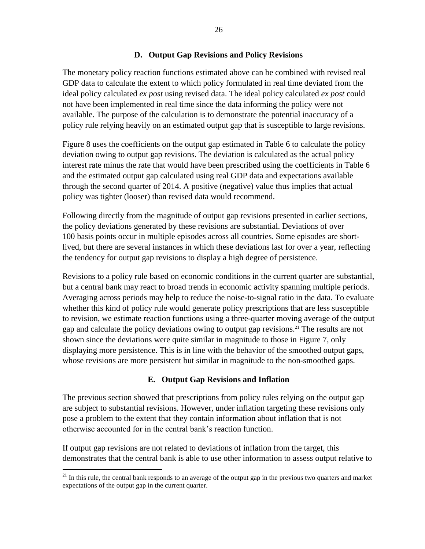## **D. Output Gap Revisions and Policy Revisions**

The monetary policy reaction functions estimated above can be combined with revised real GDP data to calculate the extent to which policy formulated in real time deviated from the ideal policy calculated *ex post* using revised data. The ideal policy calculated *ex post* could not have been implemented in real time since the data informing the policy were not available. The purpose of the calculation is to demonstrate the potential inaccuracy of a policy rule relying heavily on an estimated output gap that is susceptible to large revisions.

Figure 8 uses the coefficients on the output gap estimated in Table 6 to calculate the policy deviation owing to output gap revisions. The deviation is calculated as the actual policy interest rate minus the rate that would have been prescribed using the coefficients in Table 6 and the estimated output gap calculated using real GDP data and expectations available through the second quarter of 2014. A positive (negative) value thus implies that actual policy was tighter (looser) than revised data would recommend.

Following directly from the magnitude of output gap revisions presented in earlier sections, the policy deviations generated by these revisions are substantial. Deviations of over 100 basis points occur in multiple episodes across all countries. Some episodes are shortlived, but there are several instances in which these deviations last for over a year, reflecting the tendency for output gap revisions to display a high degree of persistence.

Revisions to a policy rule based on economic conditions in the current quarter are substantial, but a central bank may react to broad trends in economic activity spanning multiple periods. Averaging across periods may help to reduce the noise-to-signal ratio in the data. To evaluate whether this kind of policy rule would generate policy prescriptions that are less susceptible to revision, we estimate reaction functions using a three-quarter moving average of the output gap and calculate the policy deviations owing to output gap revisions.<sup>21</sup> The results are not shown since the deviations were quite similar in magnitude to those in Figure 7, only displaying more persistence. This is in line with the behavior of the smoothed output gaps, whose revisions are more persistent but similar in magnitude to the non-smoothed gaps.

## **E. Output Gap Revisions and Inflation**

The previous section showed that prescriptions from policy rules relying on the output gap are subject to substantial revisions. However, under inflation targeting these revisions only pose a problem to the extent that they contain information about inflation that is not otherwise accounted for in the central bank's reaction function.

If output gap revisions are not related to deviations of inflation from the target, this demonstrates that the central bank is able to use other information to assess output relative to

 $21$  In this rule, the central bank responds to an average of the output gap in the previous two quarters and market expectations of the output gap in the current quarter.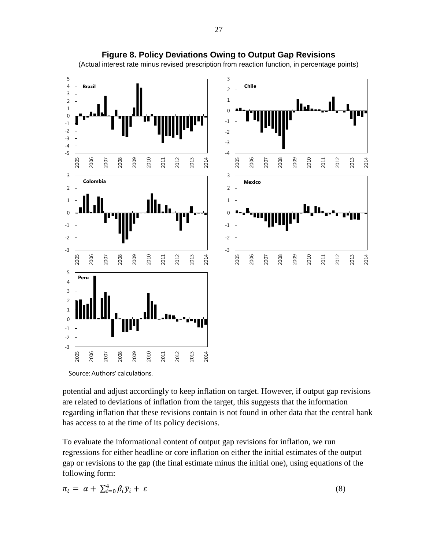

**Figure 8. Policy Deviations Owing to Output Gap Revisions**

(Actual interest rate minus revised prescription from reaction function, in percentage points)

potential and adjust accordingly to keep inflation on target. However, if output gap revisions are related to deviations of inflation from the target, this suggests that the information regarding inflation that these revisions contain is not found in other data that the central bank has access to at the time of its policy decisions.

To evaluate the informational content of output gap revisions for inflation, we run regressions for either headline or core inflation on either the initial estimates of the output gap or revisions to the gap (the final estimate minus the initial one), using equations of the following form:

$$
\pi_t = \alpha + \sum_{i=0}^4 \beta_i \bar{y}_i + \varepsilon \tag{8}
$$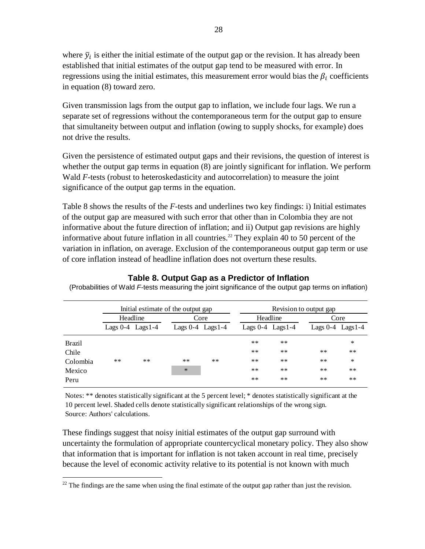where  $\bar{y}_i$  is either the initial estimate of the output gap or the revision. It has already been established that initial estimates of the output gap tend to be measured with error. In regressions using the initial estimates, this measurement error would bias the  $\beta_i$  coefficients in equation (8) toward zero.

Given transmission lags from the output gap to inflation, we include four lags. We run a separate set of regressions without the contemporaneous term for the output gap to ensure that simultaneity between output and inflation (owing to supply shocks, for example) does not drive the results.

Given the persistence of estimated output gaps and their revisions, the question of interest is whether the output gap terms in equation  $(8)$  are jointly significant for inflation. We perform Wald *F-*tests (robust to heteroskedasticity and autocorrelation) to measure the joint significance of the output gap terms in the equation.

Table 8 shows the results of the *F-*tests and underlines two key findings: i) Initial estimates of the output gap are measured with such error that other than in Colombia they are not informative about the future direction of inflation; and ii) Output gap revisions are highly informative about future inflation in all countries.<sup>22</sup> They explain 40 to 50 percent of the variation in inflation, on average. Exclusion of the contemporaneous output gap term or use of core inflation instead of headline inflation does not overturn these results.

|               | Initial estimate of the output gap |       |                       |       |                       | Revision to output gap |                       |        |
|---------------|------------------------------------|-------|-----------------------|-------|-----------------------|------------------------|-----------------------|--------|
|               | Headline                           |       |                       | Core  |                       | Headline               |                       | Core   |
|               | Lags $0-4$ Lags $1-4$              |       | Lags $0-4$ Lags $1-4$ |       | Lags $0-4$ Lags $1-4$ |                        | Lags $0-4$ Lags $1-4$ |        |
| <b>Brazil</b> |                                    |       |                       |       | $***$                 | $***$                  |                       | $\ast$ |
| Chile         |                                    |       |                       |       | $***$                 | $***$                  | $***$                 | $***$  |
| Colombia      | $***$                              | $***$ | $***$                 | $***$ | $***$                 | $***$                  | $***$                 | $\ast$ |
| Mexico        |                                    |       | $\ast$                |       | $***$                 | $***$                  | $***$                 | $***$  |
| Peru          |                                    |       |                       |       | $***$                 | $***$                  | $***$                 | $***$  |

**Table 8. Output Gap as a Predictor of Inflation**

(Probabilities of Wald *F*-tests measuring the joint significance of the output gap terms on inflation)

Notes: \*\* denotes statistically significant at the 5 percent level; \* denotes statistically significant at the 10 percent level. Shaded cells denote statistically significant relationships of the wrong sign. Source: Authors' calculations.

These findings suggest that noisy initial estimates of the output gap surround with uncertainty the formulation of appropriate countercyclical monetary policy. They also show that information that is important for inflation is not taken account in real time, precisely because the level of economic activity relative to its potential is not known with much

 $\overline{a}$  $^{22}$  The findings are the same when using the final estimate of the output gap rather than just the revision.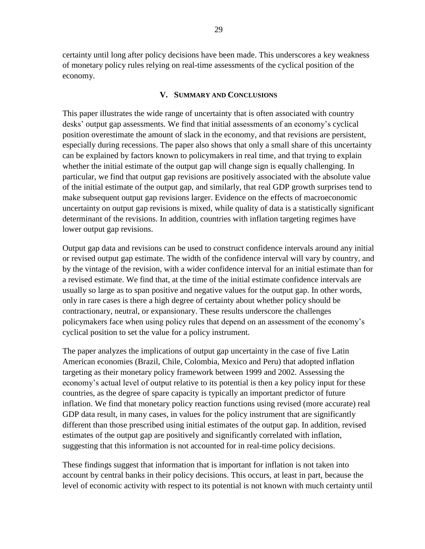certainty until long after policy decisions have been made. This underscores a key weakness of monetary policy rules relying on real-time assessments of the cyclical position of the economy.

## **V. SUMMARY AND CONCLUSIONS**

This paper illustrates the wide range of uncertainty that is often associated with country desks' output gap assessments. We find that initial assessments of an economy's cyclical position overestimate the amount of slack in the economy, and that revisions are persistent, especially during recessions. The paper also shows that only a small share of this uncertainty can be explained by factors known to policymakers in real time, and that trying to explain whether the initial estimate of the output gap will change sign is equally challenging. In particular, we find that output gap revisions are positively associated with the absolute value of the initial estimate of the output gap, and similarly, that real GDP growth surprises tend to make subsequent output gap revisions larger. Evidence on the effects of macroeconomic uncertainty on output gap revisions is mixed, while quality of data is a statistically significant determinant of the revisions. In addition, countries with inflation targeting regimes have lower output gap revisions.

Output gap data and revisions can be used to construct confidence intervals around any initial or revised output gap estimate. The width of the confidence interval will vary by country, and by the vintage of the revision, with a wider confidence interval for an initial estimate than for a revised estimate. We find that, at the time of the initial estimate confidence intervals are usually so large as to span positive and negative values for the output gap. In other words, only in rare cases is there a high degree of certainty about whether policy should be contractionary, neutral, or expansionary. These results underscore the challenges policymakers face when using policy rules that depend on an assessment of the economy's cyclical position to set the value for a policy instrument.

The paper analyzes the implications of output gap uncertainty in the case of five Latin American economies (Brazil, Chile, Colombia, Mexico and Peru) that adopted inflation targeting as their monetary policy framework between 1999 and 2002. Assessing the economy's actual level of output relative to its potential is then a key policy input for these countries, as the degree of spare capacity is typically an important predictor of future inflation. We find that monetary policy reaction functions using revised (more accurate) real GDP data result, in many cases, in values for the policy instrument that are significantly different than those prescribed using initial estimates of the output gap. In addition, revised estimates of the output gap are positively and significantly correlated with inflation, suggesting that this information is not accounted for in real-time policy decisions.

These findings suggest that information that is important for inflation is not taken into account by central banks in their policy decisions. This occurs, at least in part, because the level of economic activity with respect to its potential is not known with much certainty until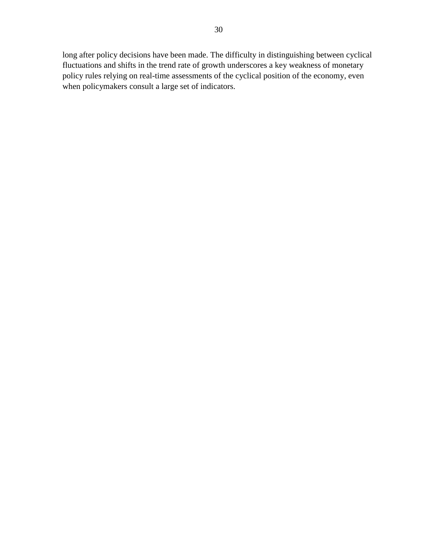long after policy decisions have been made. The difficulty in distinguishing between cyclical fluctuations and shifts in the trend rate of growth underscores a key weakness of monetary policy rules relying on real-time assessments of the cyclical position of the economy, even when policymakers consult a large set of indicators.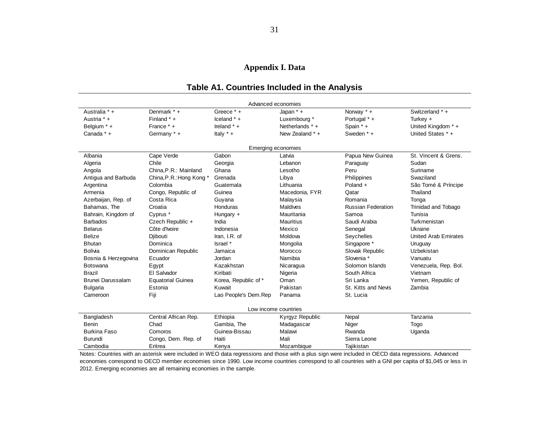## **Appendix I. Data**

## **Table A1. Countries Included in the Analysis**

| Advanced economies       |                          |                      |                   |                           |                             |  |  |  |
|--------------------------|--------------------------|----------------------|-------------------|---------------------------|-----------------------------|--|--|--|
| Australia * +            | Denmark * +              | Greece * +           | Japan $* +$       | Norway * +                | Switzerland * +             |  |  |  |
| Austria * +              | Finland *+               | Iceland $* +$        | Luxembourg *      | Portugal * +              | Turkey $+$                  |  |  |  |
| Belgium * +              | France * +               | Ireland $* +$        | Netherlands $*$ + | Spain *+                  | United Kingdom * +          |  |  |  |
| Canada * +               | Germany * +              | Italy $* +$          | New Zealand *+    | Sweden * +                | United States *+            |  |  |  |
|                          | Emerging economies       |                      |                   |                           |                             |  |  |  |
| Albania                  | Cape Verde               | Gabon                | Latvia            | Papua New Guinea          | St. Vincent & Grens.        |  |  |  |
| Algeria                  | Chile                    | Georgia              | Lebanon           | Paraguay                  | Sudan                       |  |  |  |
| Angola                   | China, P.R.: Mainland    | Ghana                | Lesotho           | Peru                      | Suriname                    |  |  |  |
| Antigua and Barbuda      | China, P.R.: Hong Kong * | Grenada              | Libya             | Philippines               | Swaziland                   |  |  |  |
| Argentina                | Colombia                 | Guatemala            | Lithuania         | Poland +                  | São Tomé & Príncipe         |  |  |  |
| Armenia                  | Congo, Republic of       | Guinea               | Macedonia, FYR    | Qatar                     | Thailand                    |  |  |  |
| Azerbaijan, Rep. of      | Costa Rica               | Guyana               | Malaysia          | Romania                   | Tonga                       |  |  |  |
| Bahamas, The             | Croatia                  | Honduras             | Maldives          | <b>Russian Federation</b> | <b>Trinidad and Tobago</b>  |  |  |  |
| Bahrain, Kingdom of      | Cyprus *                 | Hungary +            | Mauritania        | Samoa                     | Tunisia                     |  |  |  |
| <b>Barbados</b>          | Czech Republic +         | India                | Mauritius         | Saudi Arabia              | Turkmenistan                |  |  |  |
| <b>Belarus</b>           | Côte d'Ivoire            | Indonesia            | Mexico            | Senegal                   | Ukraine                     |  |  |  |
| <b>Belize</b>            | Diibouti                 | Iran, I.R. of        | Moldova           | Seychelles                | <b>United Arab Emirates</b> |  |  |  |
| <b>Bhutan</b>            | Dominica                 | Israel *             | Mongolia          | Singapore *               | Uruguay                     |  |  |  |
| <b>Bolivia</b>           | Dominican Republic       | Jamaica              | Morocco           | Slovak Republic           | Uzbekistan                  |  |  |  |
| Bosnia & Herzegovina     | Ecuador                  | Jordan               | Namibia           | Slovenia *                | Vanuatu                     |  |  |  |
| <b>Botswana</b>          | Egypt                    | Kazakhstan           | Nicaragua         | Solomon Islands           | Venezuela, Rep. Bol.        |  |  |  |
| <b>Brazil</b>            | El Salvador              | Kiribati             | Nigeria           | South Africa              | Vietnam                     |  |  |  |
| <b>Brunei Darussalam</b> | <b>Equatorial Guinea</b> | Korea, Republic of * | Oman              | Sri Lanka                 | Yemen, Republic of          |  |  |  |
| <b>Bulgaria</b>          | Estonia                  | Kuwait               | Pakistan          | St. Kitts and Nevis       | Zambia                      |  |  |  |
| Cameroon                 | Fiji                     | Lao People's Dem.Rep | Panama            | St. Lucia                 |                             |  |  |  |
| Low income countries     |                          |                      |                   |                           |                             |  |  |  |
| Bangladesh               | Central African Rep.     | Ethiopia             | Kyrgyz Republic   | Nepal                     | Tanzania                    |  |  |  |
| Benin                    | Chad                     | Gambia, The          | Madagascar        | Niger                     | Togo                        |  |  |  |
| <b>Burkina Faso</b>      | Comoros                  | Guinea-Bissau        | Malawi            | Rwanda                    | Uganda                      |  |  |  |
| Burundi                  | Congo, Dem. Rep. of      | Haiti                | Mali              | Sierra Leone              |                             |  |  |  |
| Cambodia                 | Eritrea                  | Kenya                | Mozambique        | Tajikistan                |                             |  |  |  |

Notes: Countries with an asterisk were included in WEO data regressions and those with a plus sign were included in OECD data regressions. Advanced economies correspond to OECD member economies since 1990. Low income countries correspond to all countries with a GNI per capita of \$1,045 or less in 2012. Emerging economies are all remaining economies in the sample.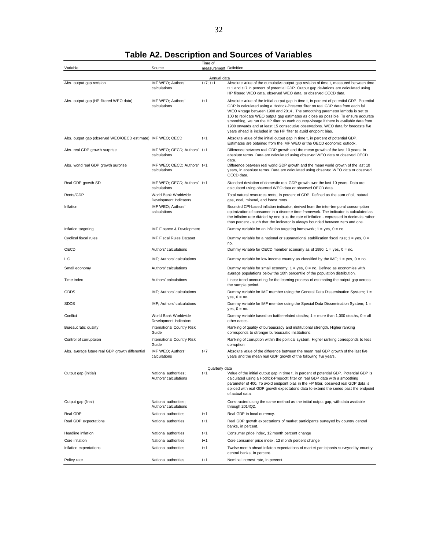## **Table A2. Description and Sources of Variables**

|                                                            |                                                | Time of                |                                                                                                                                                                                                                                                                                                                                                                                                                                                                                                                                                                                                           |
|------------------------------------------------------------|------------------------------------------------|------------------------|-----------------------------------------------------------------------------------------------------------------------------------------------------------------------------------------------------------------------------------------------------------------------------------------------------------------------------------------------------------------------------------------------------------------------------------------------------------------------------------------------------------------------------------------------------------------------------------------------------------|
| Variable                                                   | Source                                         | measurement Definition |                                                                                                                                                                                                                                                                                                                                                                                                                                                                                                                                                                                                           |
|                                                            |                                                | Annual data            |                                                                                                                                                                                                                                                                                                                                                                                                                                                                                                                                                                                                           |
| Abs. output gap revision                                   | IMF WEO; Authors'<br>calculations              | $t + 7$ : $t + 1$      | Absolute value of the cumulative output gap revision of time t, measured between time<br>t+1 and t+7 in percent of potential GDP. Output gap deviations are calculated using<br>HP filtered WEO data, observed WEO data, or observed OECD data.                                                                                                                                                                                                                                                                                                                                                           |
| Abs. output gap (HP filtered WEO data)                     | IMF WEO; Authors'<br>calculations              | $t+1$                  | Absolute value of the initial output gap in time t, in percent of potential GDP. Potential<br>GDP is calculated using a Hodrick-Prescott filter on real GDP data from each fall<br>WEO vintage between 1990 and 2014. The smoothing parameter lambda is set to<br>100 to replicate WEO output gap estimates as close as possible. To ensure accurate<br>smoothing, we run the HP filter on each country-vintage if there is available data from<br>1980 onwards and at least 15 consecutive observations. WEO data for forecasts five<br>years ahead is included in the HP filter to avoid endpoint bias. |
| Abs. output gap (observed WEO/OECD estimate) IMF WEO; OECD |                                                | $t + 1$                | Absolute value of the initial output gap in time t, in percent of potential GDP.<br>Estimates are obtained from the IMF WEO or the OECD economic outlook.                                                                                                                                                                                                                                                                                                                                                                                                                                                 |
| Abs. real GDP growth surprise                              | IMF WEO; OECD; Authors' t+1<br>calculations    |                        | Difference between real GDP growth and the mean growth of the last 10 years, in<br>absolute terms. Data are calculated using observed WEO data or observed OECD<br>data.                                                                                                                                                                                                                                                                                                                                                                                                                                  |
| Abs. world real GDP growth surprise                        | IMF WEO; OECD; Authors' t+1<br>calculations    |                        | Difference between real world GDP growth and the mean world growth of the last 10<br>years, in absolute terms. Data are calculated using observed WEO data or observed<br>OECD data.                                                                                                                                                                                                                                                                                                                                                                                                                      |
| Real GDP growth SD                                         | IMF WEO; OECD; Authors' t+1<br>calculations    |                        | Standard deviation of domestic real GDP growth over the last 10 years. Data are<br>calculated using observed WEO data or observed OECD data.                                                                                                                                                                                                                                                                                                                                                                                                                                                              |
| Rents/GDP                                                  | World Bank Worldwide<br>Development Indicators |                        | Total natural resources rents, in percent of GDP. Defined as the sum of oil, natural<br>gas, coal, mineral, and forest rents.                                                                                                                                                                                                                                                                                                                                                                                                                                                                             |
| Inflation                                                  | IMF WEO; Authors'<br>calculations              |                        | Bounded CPI-based inflation indicator, derived from the inter-temporal consumption<br>optimization of consumer in a discrete time framework. The indicator is calculated as<br>the inflation rate divided by one plus the rate of inflation - expressed in decimals rather<br>than percent - such that the indicator is always bounded between zero and one.                                                                                                                                                                                                                                              |
| Inflation targeting                                        | IMF Finance & Development                      |                        | Dummy variable for an inflation targeting framework; $1 = yes$ , $0 = no$ .                                                                                                                                                                                                                                                                                                                                                                                                                                                                                                                               |
| Cyclical fiscal rules                                      | <b>IMF Fiscal Rules Dataset</b>                |                        | Dummy variable for a national or supranational stabilization fiscal rule; $1 = yes$ , $0 =$<br>no.                                                                                                                                                                                                                                                                                                                                                                                                                                                                                                        |
| OECD                                                       | Authors' calculations                          |                        | Dummy variable for OECD member economy as of 1990; $1 = yes$ , $0 = no$ .                                                                                                                                                                                                                                                                                                                                                                                                                                                                                                                                 |
| LIC                                                        | IMF: Authors' calculations                     |                        | Dummy variable for low income country as classified by the IMF; $1 = yes$ , $0 = no$ .                                                                                                                                                                                                                                                                                                                                                                                                                                                                                                                    |
| Small economy                                              | Authors' calculations                          |                        | Dummy variable for small economy; $1 = yes$ , $0 = no$ . Defined as economies with<br>average populations below the 10th percentile of the population distribution.                                                                                                                                                                                                                                                                                                                                                                                                                                       |
| Time index                                                 | Authors' calculations                          |                        | Linear trend accounting for the learning process of estimating the output gap across<br>the sample period.                                                                                                                                                                                                                                                                                                                                                                                                                                                                                                |
| GDDS                                                       | IMF; Authors' calculations                     |                        | Dummy variable for IMF member using the General Data Dissemination System; 1 =<br>yes, $0 = no$ .                                                                                                                                                                                                                                                                                                                                                                                                                                                                                                         |
| <b>SDDS</b>                                                | IMF; Authors' calculations                     |                        | Dummy variable for IMF member using the Special Data Dissemination System; 1 =<br>yes, $0 = \text{no}$ .                                                                                                                                                                                                                                                                                                                                                                                                                                                                                                  |
| Conflict                                                   | World Bank Worldwide<br>Development Indicators |                        | Dummy variable based on battle-related deaths; $1 =$ more than 1,000 deaths, $0 =$ all<br>other cases.                                                                                                                                                                                                                                                                                                                                                                                                                                                                                                    |
| <b>Bureaucratic quality</b>                                | International Country Risk<br>Guide            |                        | Ranking of quality of bureaucracy and institutional strength. Higher ranking<br>corresponds to stronger bureaucratic institutions.                                                                                                                                                                                                                                                                                                                                                                                                                                                                        |
| Control of corruptoion                                     | International Country Risk<br>Guide            |                        | Ranking of corruption within the political system. Higher ranking corresponds to less<br>corruption.                                                                                                                                                                                                                                                                                                                                                                                                                                                                                                      |
| Abs. average future real GDP growth differential           | IMF WEO; Authors'<br>calculations              | $t+7$                  | Absolute value of the difference between the mean real GDP growth of the last five<br>years and the mean real GDP growth of the following five years.                                                                                                                                                                                                                                                                                                                                                                                                                                                     |
|                                                            |                                                | Quarterly data         |                                                                                                                                                                                                                                                                                                                                                                                                                                                                                                                                                                                                           |
| Output gap (initial)                                       | National authorities;<br>Authors' calculations | t+1                    | value of the initial output gap in time t, in percent of potential GDP. Potential GDP is<br>calculated using a Hodrick-Prescott filter on real GDP data with a smoothing<br>parameter of 400. To avoid endpoint bias in the HP filter, observed real GDP data is<br>spliced with real GDP growth expectatons data to extend the series past the endpoint<br>of actual data.                                                                                                                                                                                                                               |
| Output gap (final)                                         | National authorities;<br>Authors' calculations |                        | Constructed using the same method as the initial output gap, with data available<br>through 2014Q2.                                                                                                                                                                                                                                                                                                                                                                                                                                                                                                       |
| Real GDP                                                   | National authorities                           | $t + 1$                | Real GDP in local currency.                                                                                                                                                                                                                                                                                                                                                                                                                                                                                                                                                                               |
| Real GDP expectations                                      | National authorities                           | $t + 1$                | Real GDP growth expectations of market participants surveyed by country central<br>banks, in percent.                                                                                                                                                                                                                                                                                                                                                                                                                                                                                                     |
| Headline inflation                                         | National authorities                           | t+1                    | Consumer price index, 12 month percent change                                                                                                                                                                                                                                                                                                                                                                                                                                                                                                                                                             |
| Core inflation                                             | National authorities                           | $t+1$                  | Core consumer price index, 12 month percent change                                                                                                                                                                                                                                                                                                                                                                                                                                                                                                                                                        |
| Inflation expectations                                     | National authorities                           | $t+1$                  | Twelve-month ahead inflaton expectations of market participants surveyed by country<br>central banks, in percent.                                                                                                                                                                                                                                                                                                                                                                                                                                                                                         |
| Policy rate                                                | National authorities                           | $t+1$                  | Nominal interest rate, in percent.                                                                                                                                                                                                                                                                                                                                                                                                                                                                                                                                                                        |